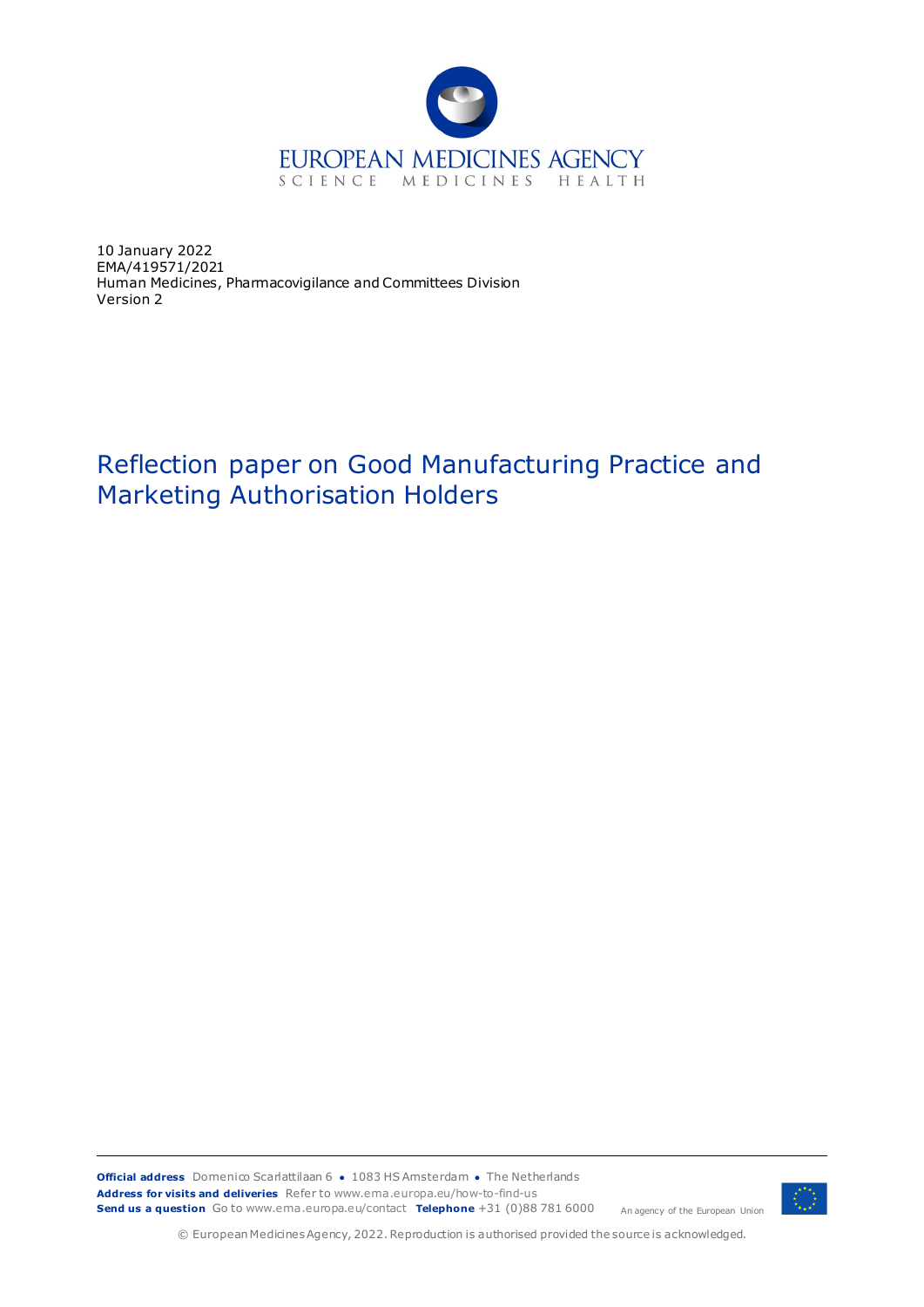

10 January 2022 EMA/419571/2021 Human Medicines, Pharmacovigilance and Committees Division Version 2

# Reflection paper on Good Manufacturing Practice and Marketing Authorisation Holders



© European Medicines Agency, 2022. Reproduction is authorised provided the source is acknowledged.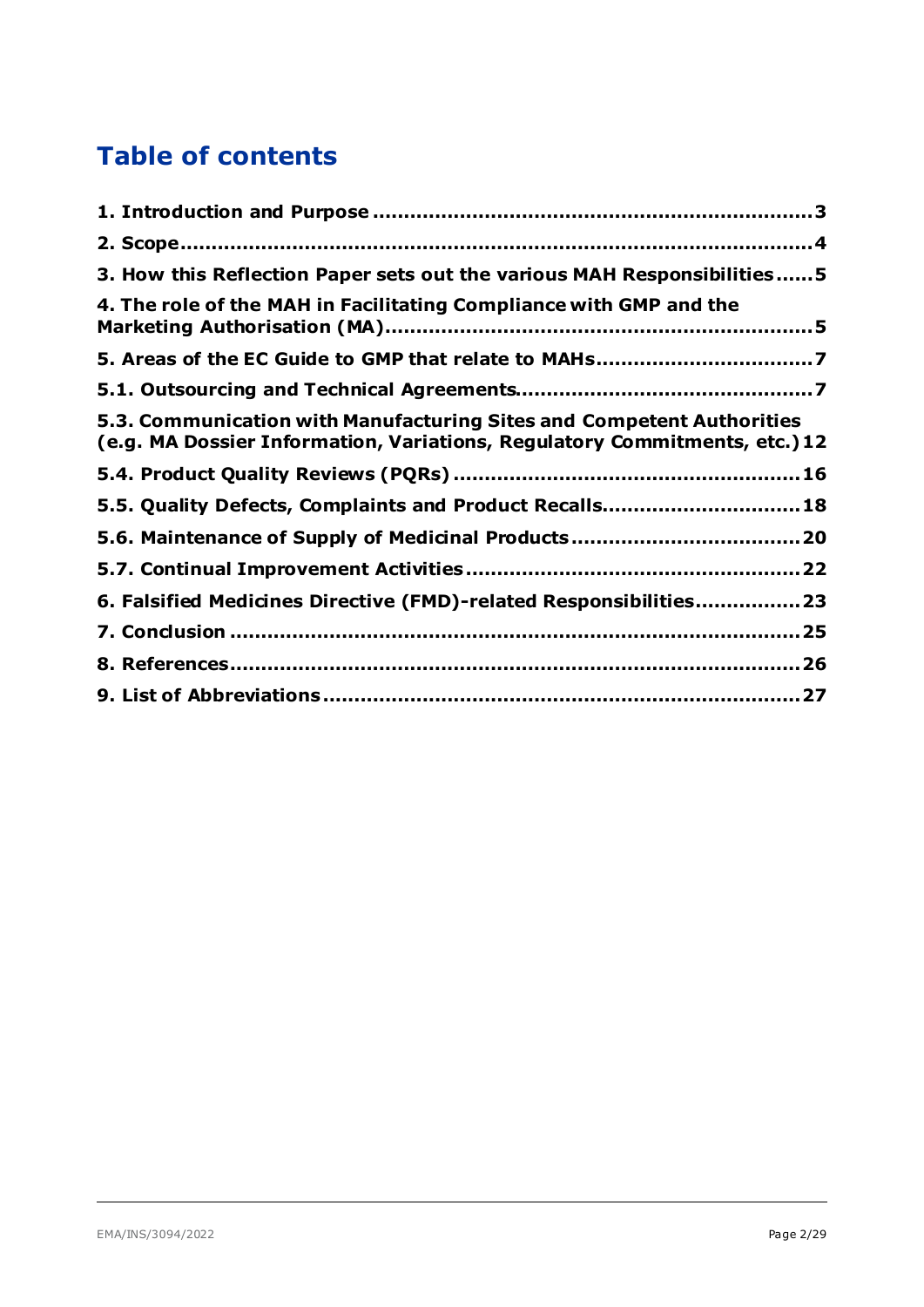# **Table of contents**

| 3. How this Reflection Paper sets out the various MAH Responsibilities5                                                                             |  |
|-----------------------------------------------------------------------------------------------------------------------------------------------------|--|
| 4. The role of the MAH in Facilitating Compliance with GMP and the                                                                                  |  |
|                                                                                                                                                     |  |
|                                                                                                                                                     |  |
| 5.3. Communication with Manufacturing Sites and Competent Authorities<br>(e.g. MA Dossier Information, Variations, Regulatory Commitments, etc.) 12 |  |
|                                                                                                                                                     |  |
| 5.5. Quality Defects, Complaints and Product Recalls 18                                                                                             |  |
|                                                                                                                                                     |  |
|                                                                                                                                                     |  |
| 6. Falsified Medicines Directive (FMD)-related Responsibilities23                                                                                   |  |
|                                                                                                                                                     |  |
|                                                                                                                                                     |  |
|                                                                                                                                                     |  |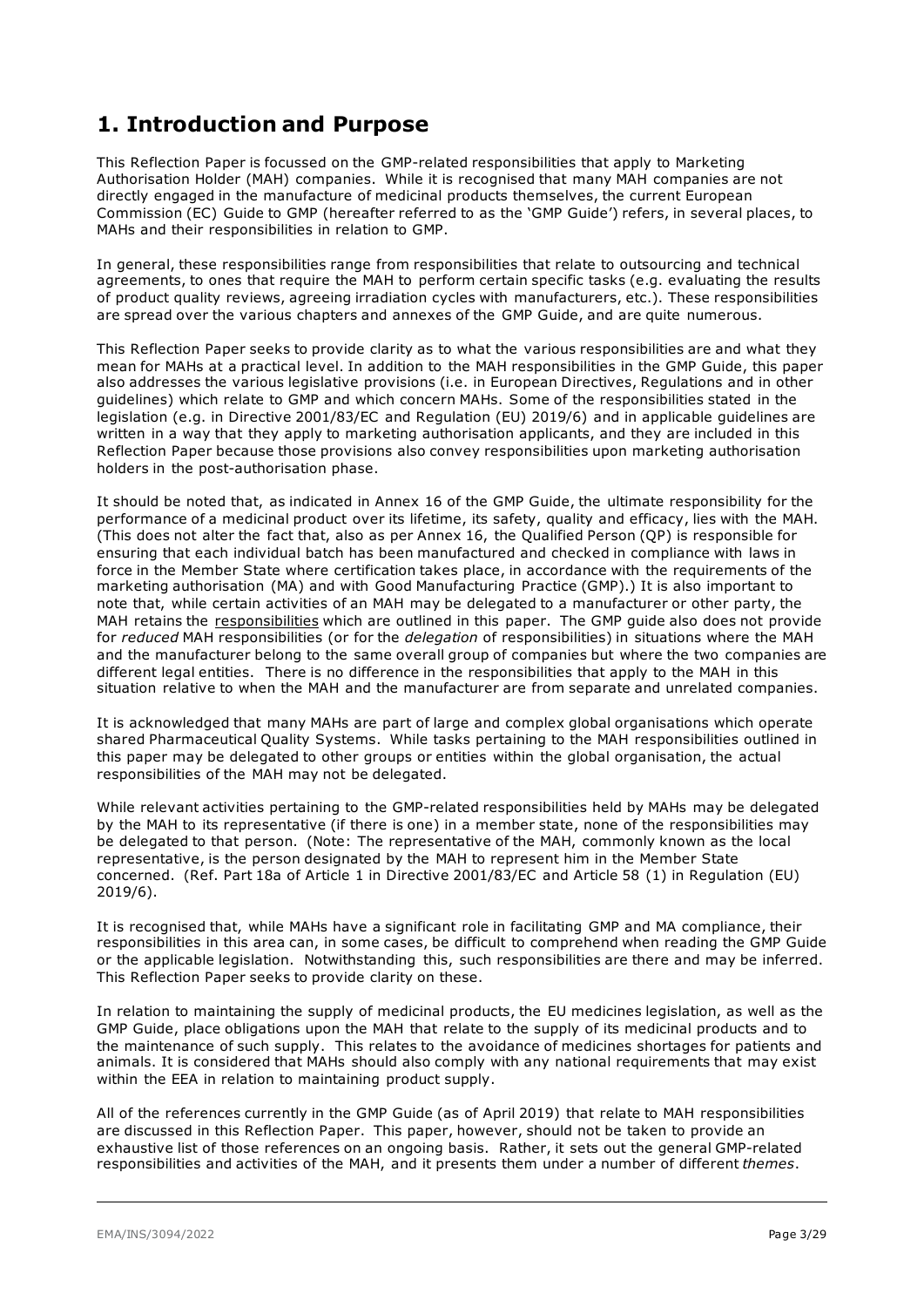## <span id="page-2-0"></span>**1. Introduction and Purpose**

This Reflection Paper is focussed on the GMP-related responsibilities that apply to Marketing Authorisation Holder (MAH) companies. While it is recognised that many MAH companies are not directly engaged in the manufacture of medicinal products themselves, the current European Commission (EC) Guide to GMP (hereafter referred to as the 'GMP Guide') refers, in several places, to MAHs and their responsibilities in relation to GMP.

In general, these responsibilities range from responsibilities that relate to outsourcing and technical agreements, to ones that require the MAH to perform certain specific tasks (e.g. evaluating the results of product quality reviews, agreeing irradiation cycles with manufacturers, etc.). These responsibilities are spread over the various chapters and annexes of the GMP Guide, and are quite numerous.

This Reflection Paper seeks to provide clarity as to what the various responsibilities are and what they mean for MAHs at a practical level. In addition to the MAH responsibilities in the GMP Guide, this paper also addresses the various legislative provisions (i.e. in European Directives, Regulations and in other guidelines) which relate to GMP and which concern MAHs. Some of the responsibilities stated in the legislation (e.g. in Directive 2001/83/EC and Regulation (EU) 2019/6) and in applicable guidelines are written in a way that they apply to marketing authorisation applicants, and they are included in this Reflection Paper because those provisions also convey responsibilities upon marketing authorisation holders in the post-authorisation phase.

It should be noted that, as indicated in Annex 16 of the GMP Guide, the ultimate responsibility for the performance of a medicinal product over its lifetime, its safety, quality and efficacy, lies with the MAH. (This does not alter the fact that, also as per Annex 16, the Qualified Person (QP) is responsible for ensuring that each individual batch has been manufactured and checked in compliance with laws in force in the Member State where certification takes place, in accordance with the requirements of the marketing authorisation (MA) and with Good Manufacturing Practice (GMP).) It is also important to note that, while certain activities of an MAH may be delegated to a manufacturer or other party, the MAH retains the responsibilities which are outlined in this paper. The GMP guide also does not provide for *reduced* MAH responsibilities (or for the *delegation* of responsibilities) in situations where the MAH and the manufacturer belong to the same overall group of companies but where the two companies are different legal entities. There is no difference in the responsibilities that apply to the MAH in this situation relative to when the MAH and the manufacturer are from separate and unrelated companies.

It is acknowledged that many MAHs are part of large and complex global organisations which operate shared Pharmaceutical Quality Systems. While tasks pertaining to the MAH responsibilities outlined in this paper may be delegated to other groups or entities within the global organisation, the actual responsibilities of the MAH may not be delegated.

While relevant activities pertaining to the GMP-related responsibilities held by MAHs may be delegated by the MAH to its representative (if there is one) in a member state, none of the responsibilities may be delegated to that person. (Note: The representative of the MAH, commonly known as the local representative, is the person designated by the MAH to represent him in the Member State concerned. (Ref. Part 18a of Article 1 in Directive 2001/83/EC and Article 58 (1) in Regulation (EU) 2019/6).

It is recognised that, while MAHs have a significant role in facilitating GMP and MA compliance, their responsibilities in this area can, in some cases, be difficult to comprehend when reading the GMP Guide or the applicable legislation. Notwithstanding this, such responsibilities are there and may be inferred. This Reflection Paper seeks to provide clarity on these.

In relation to maintaining the supply of medicinal products, the EU medicines legislation, as well as the GMP Guide, place obligations upon the MAH that relate to the supply of its medicinal products and to the maintenance of such supply. This relates to the avoidance of medicines shortages for patients and animals. It is considered that MAHs should also comply with any national requirements that may exist within the EEA in relation to maintaining product supply.

All of the references currently in the GMP Guide (as of April 2019) that relate to MAH responsibilities are discussed in this Reflection Paper. This paper, however, should not be taken to provide an exhaustive list of those references on an ongoing basis. Rather, it sets out the general GMP-related responsibilities and activities of the MAH, and it presents them under a number of different *themes*.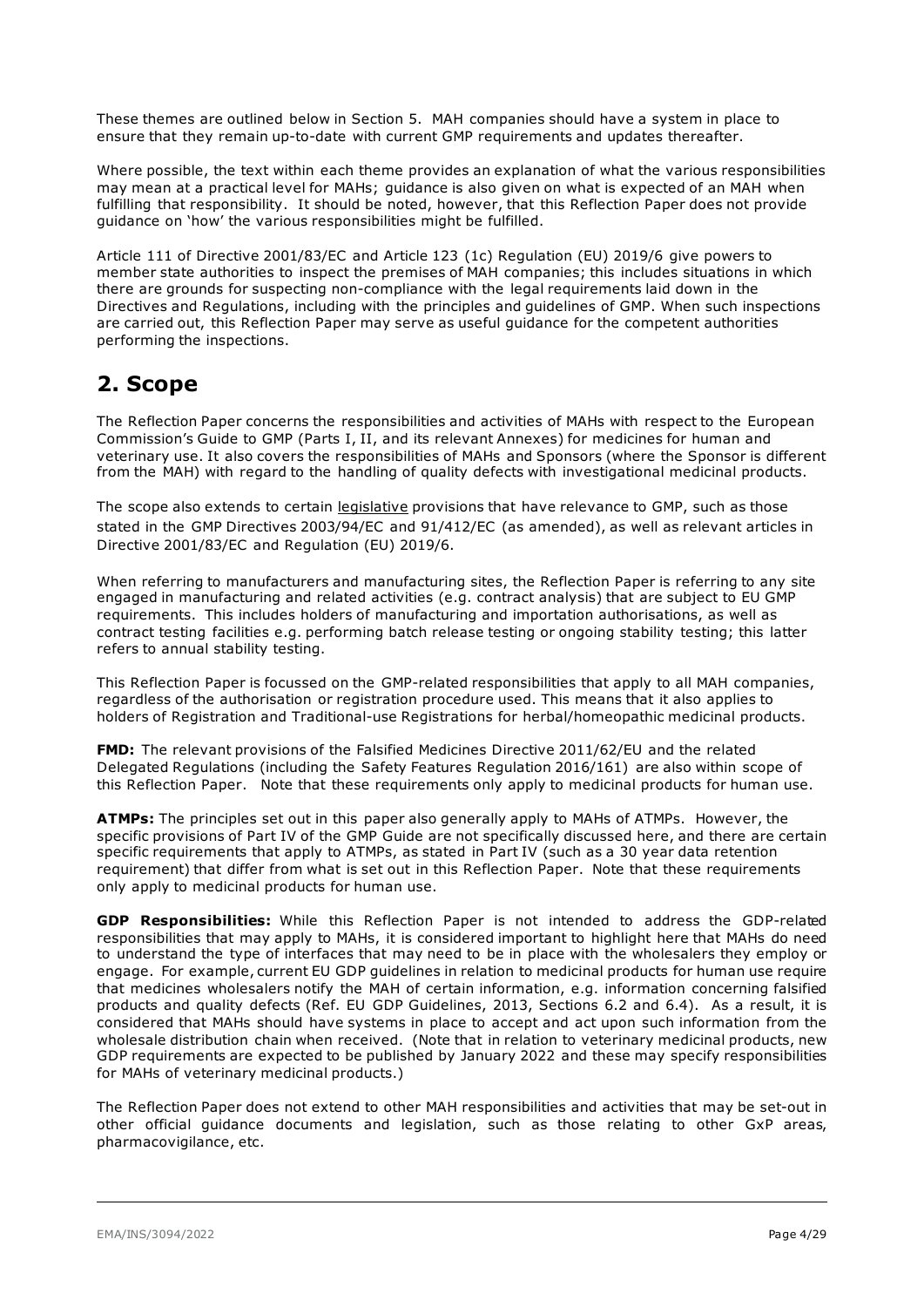These themes are outlined below in Section 5. MAH companies should have a system in place to ensure that they remain up-to-date with current GMP requirements and updates thereafter.

Where possible, the text within each theme provides an explanation of what the various responsibilities may mean at a practical level for MAHs; guidance is also given on what is expected of an MAH when fulfilling that responsibility. It should be noted, however, that this Reflection Paper does not provide guidance on 'how' the various responsibilities might be fulfilled.

Article 111 of Directive 2001/83/EC and Article 123 (1c) Regulation (EU) 2019/6 give powers to member state authorities to inspect the premises of MAH companies; this includes situations in which there are grounds for suspecting non-compliance with the legal requirements laid down in the Directives and Regulations, including with the principles and guidelines of GMP. When such inspections are carried out, this Reflection Paper may serve as useful guidance for the competent authorities performing the inspections.

## <span id="page-3-0"></span>**2. Scope**

The Reflection Paper concerns the responsibilities and activities of MAHs with respect to the European Commission's Guide to GMP (Parts I, II, and its relevant Annexes) for medicines for human and veterinary use. It also covers the responsibilities of MAHs and Sponsors (where the Sponsor is different from the MAH) with regard to the handling of quality defects with investigational medicinal products.

The scope also extends to certain legislative provisions that have relevance to GMP, such as those stated in the GMP Directives 2003/94/EC and 91/412/EC (as amended), as well as relevant articles in Directive 2001/83/EC and Regulation (EU) 2019/6.

When referring to manufacturers and manufacturing sites, the Reflection Paper is referring to any site engaged in manufacturing and related activities (e.g. contract analysis) that are subject to EU GMP requirements. This includes holders of manufacturing and importation authorisations, as well as contract testing facilities e.g. performing batch release testing or ongoing stability testing; this latter refers to annual stability testing.

This Reflection Paper is focussed on the GMP-related responsibilities that apply to all MAH companies, regardless of the authorisation or registration procedure used. This means that it also applies to holders of Registration and Traditional-use Registrations for herbal/homeopathic medicinal products.

**FMD:** The relevant provisions of the Falsified Medicines Directive 2011/62/EU and the related Delegated Regulations (including the Safety Features Regulation 2016/161) are also within scope of this Reflection Paper. Note that these requirements only apply to medicinal products for human use.

**ATMPs:** The principles set out in this paper also generally apply to MAHs of ATMPs. However, the specific provisions of Part IV of the GMP Guide are not specifically discussed here, and there are certain specific requirements that apply to ATMPs, as stated in Part IV (such as a 30 year data retention requirement) that differ from what is set out in this Reflection Paper. Note that these requirements only apply to medicinal products for human use.

**GDP Responsibilities:** While this Reflection Paper is not intended to address the GDP-related responsibilities that may apply to MAHs, it is considered important to highlight here that MAHs do need to understand the type of interfaces that may need to be in place with the wholesalers they employ or engage. For example, current EU GDP guidelines in relation to medicinal products for human use require that medicines wholesalers notify the MAH of certain information, e.g. information concerning falsified products and quality defects (Ref. EU GDP Guidelines, 2013, Sections 6.2 and 6.4). As a result, it is considered that MAHs should have systems in place to accept and act upon such information from the wholesale distribution chain when received. (Note that in relation to veterinary medicinal products, new GDP requirements are expected to be published by January 2022 and these may specify responsibilities for MAHs of veterinary medicinal products.)

The Reflection Paper does not extend to other MAH responsibilities and activities that may be set-out in other official guidance documents and legislation, such as those relating to other GxP areas, pharmacovigilance, etc.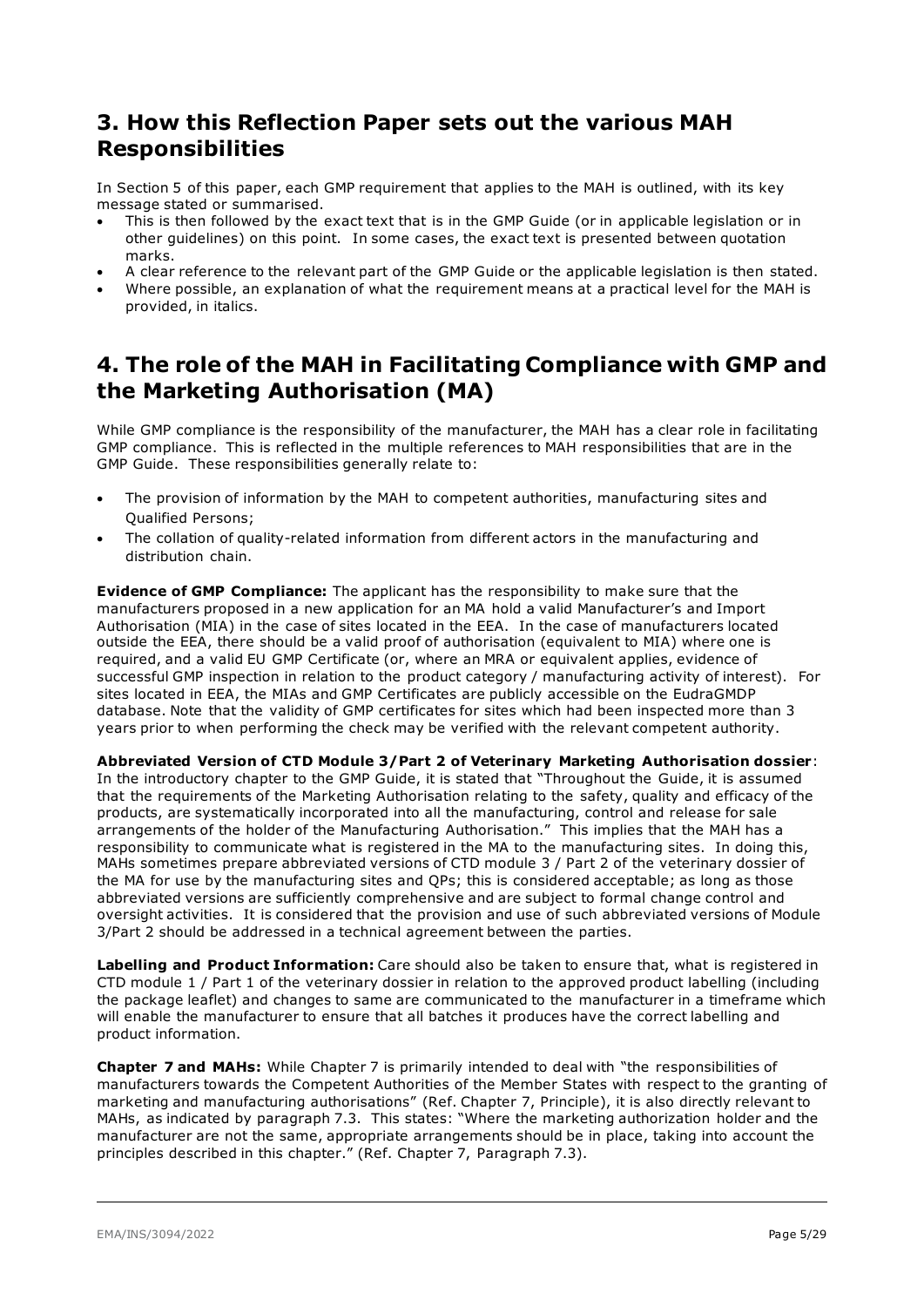## <span id="page-4-0"></span>**3. How this Reflection Paper sets out the various MAH Responsibilities**

In Section 5 of this paper, each GMP requirement that applies to the MAH is outlined, with its key message stated or summarised.

- This is then followed by the exact text that is in the GMP Guide (or in applicable legislation or in other guidelines) on this point. In some cases, the exact text is presented between quotation marks.
- A clear reference to the relevant part of the GMP Guide or the applicable legislation is then stated.
- Where possible, an explanation of what the requirement means at a practical level for the MAH is provided, in italics.

## <span id="page-4-1"></span>**4. The role of the MAH in Facilitating Compliance with GMP and the Marketing Authorisation (MA)**

While GMP compliance is the responsibility of the manufacturer, the MAH has a clear role in facilitating GMP compliance. This is reflected in the multiple references to MAH responsibilities that are in the GMP Guide. These responsibilities generally relate to:

- The provision of information by the MAH to competent authorities, manufacturing sites and Qualified Persons;
- The collation of quality-related information from different actors in the manufacturing and distribution chain.

**Evidence of GMP Compliance:** The applicant has the responsibility to make sure that the manufacturers proposed in a new application for an MA hold a valid Manufacturer's and Import Authorisation (MIA) in the case of sites located in the EEA. In the case of manufacturers located outside the EEA, there should be a valid proof of authorisation (equivalent to MIA) where one is required, and a valid EU GMP Certificate (or, where an MRA or equivalent applies, evidence of successful GMP inspection in relation to the product category / manufacturing activity of interest). For sites located in EEA, the MIAs and GMP Certificates are publicly accessible on the EudraGMDP database. Note that the validity of GMP certificates for sites which had been inspected more than 3 years prior to when performing the check may be verified with the relevant competent authority.

**Abbreviated Version of CTD Module 3/Part 2 of Veterinary Marketing Authorisation dossier**: In the introductory chapter to the GMP Guide, it is stated that "Throughout the Guide, it is assumed that the requirements of the Marketing Authorisation relating to the safety, quality and efficacy of the products, are systematically incorporated into all the manufacturing, control and release for sale arrangements of the holder of the Manufacturing Authorisation." This implies that the MAH has a responsibility to communicate what is registered in the MA to the manufacturing sites. In doing this, MAHs sometimes prepare abbreviated versions of CTD module 3 / Part 2 of the veterinary dossier of the MA for use by the manufacturing sites and QPs; this is considered acceptable; as long as those abbreviated versions are sufficiently comprehensive and are subject to formal change control and oversight activities. It is considered that the provision and use of such abbreviated versions of Module 3/Part 2 should be addressed in a technical agreement between the parties.

**Labelling and Product Information:** Care should also be taken to ensure that, what is registered in CTD module 1 / Part 1 of the veterinary dossier in relation to the approved product labelling (including the package leaflet) and changes to same are communicated to the manufacturer in a timeframe which will enable the manufacturer to ensure that all batches it produces have the correct labelling and product information.

**Chapter 7 and MAHs:** While Chapter 7 is primarily intended to deal with "the responsibilities of manufacturers towards the Competent Authorities of the Member States with respect to the granting of marketing and manufacturing authorisations" (Ref. Chapter 7, Principle), it is also directly relevant to MAHs, as indicated by paragraph 7.3. This states: "Where the marketing authorization holder and the manufacturer are not the same, appropriate arrangements should be in place, taking into account the principles described in this chapter." (Ref. Chapter 7, Paragraph 7.3).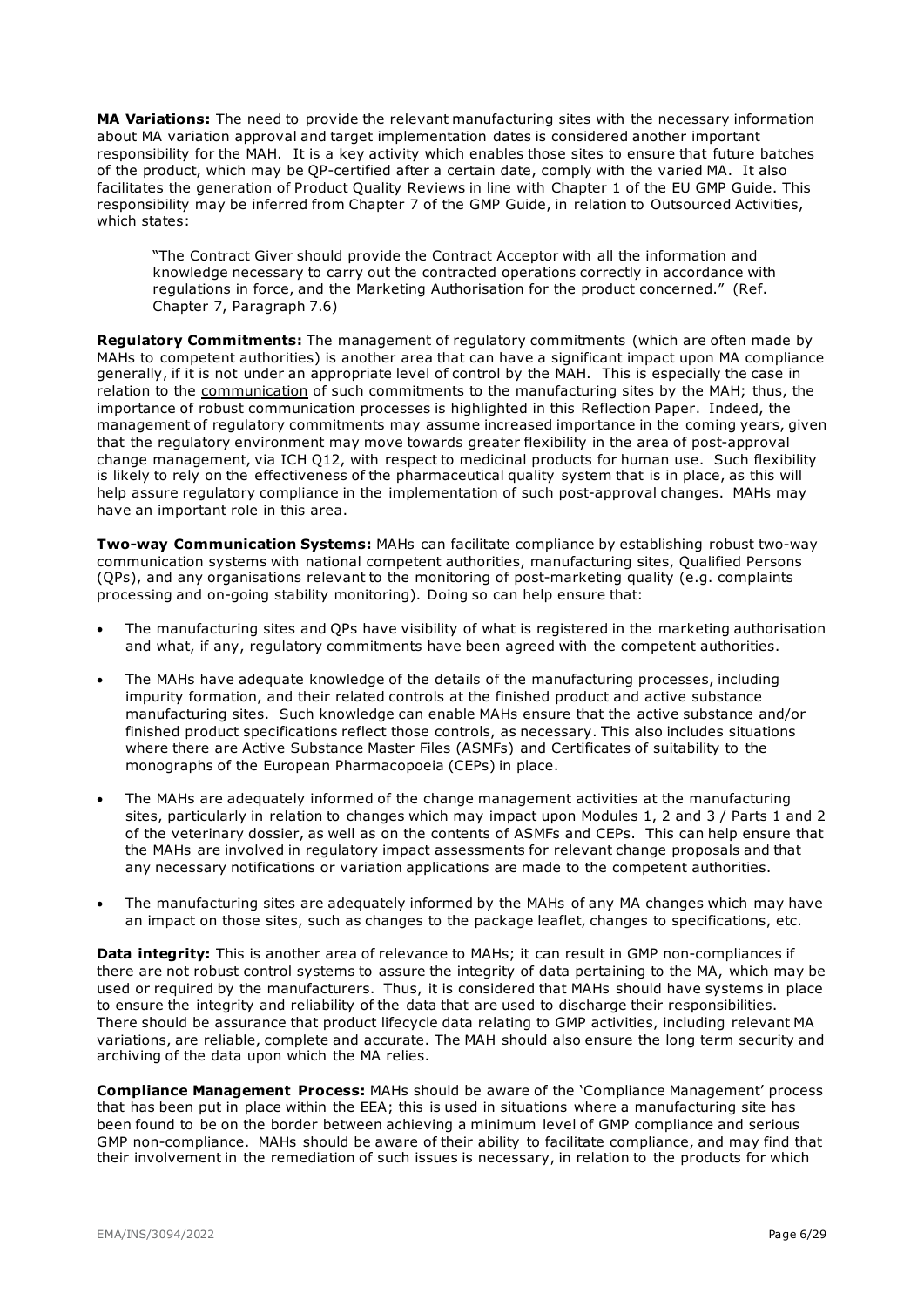**MA Variations:** The need to provide the relevant manufacturing sites with the necessary information about MA variation approval and target implementation dates is considered another important responsibility for the MAH. It is a key activity which enables those sites to ensure that future batches of the product, which may be QP-certified after a certain date, comply with the varied MA. It also facilitates the generation of Product Quality Reviews in line with Chapter 1 of the EU GMP Guide. This responsibility may be inferred from Chapter 7 of the GMP Guide, in relation to Outsourced Activities, which states:

"The Contract Giver should provide the Contract Acceptor with all the information and knowledge necessary to carry out the contracted operations correctly in accordance with regulations in force, and the Marketing Authorisation for the product concerned." (Ref. Chapter 7, Paragraph 7.6)

**Regulatory Commitments:** The management of regulatory commitments (which are often made by MAHs to competent authorities) is another area that can have a significant impact upon MA compliance generally, if it is not under an appropriate level of control by the MAH. This is especially the case in relation to the communication of such commitments to the manufacturing sites by the MAH; thus, the importance of robust communication processes is highlighted in this Reflection Paper. Indeed, the management of regulatory commitments may assume increased importance in the coming years, given that the regulatory environment may move towards greater flexibility in the area of post-approval change management, via ICH Q12, with respect to medicinal products for human use. Such flexibility is likely to rely on the effectiveness of the pharmaceutical quality system that is in place, as this will help assure regulatory compliance in the implementation of such post-approval changes. MAHs may have an important role in this area.

**Two-way Communication Systems:** MAHs can facilitate compliance by establishing robust two-way communication systems with national competent authorities, manufacturing sites, Qualified Persons (QPs), and any organisations relevant to the monitoring of post-marketing quality (e.g. complaints processing and on-going stability monitoring). Doing so can help ensure that:

- The manufacturing sites and QPs have visibility of what is registered in the marketing authorisation and what, if any, regulatory commitments have been agreed with the competent authorities.
- The MAHs have adequate knowledge of the details of the manufacturing processes, including impurity formation, and their related controls at the finished product and active substance manufacturing sites. Such knowledge can enable MAHs ensure that the active substance and/or finished product specifications reflect those controls, as necessary. This also includes situations where there are Active Substance Master Files (ASMFs) and Certificates of suitability to the monographs of the European Pharmacopoeia (CEPs) in place.
- The MAHs are adequately informed of the change management activities at the manufacturing sites, particularly in relation to changes which may impact upon Modules 1, 2 and 3 / Parts 1 and 2 of the veterinary dossier, as well as on the contents of ASMFs and CEPs. This can help ensure that the MAHs are involved in regulatory impact assessments for relevant change proposals and that any necessary notifications or variation applications are made to the competent authorities.
- The manufacturing sites are adequately informed by the MAHs of any MA changes which may have an impact on those sites, such as changes to the package leaflet, changes to specifications, etc.

**Data integrity:** This is another area of relevance to MAHs; it can result in GMP non-compliances if there are not robust control systems to assure the integrity of data pertaining to the MA, which may be used or required by the manufacturers. Thus, it is considered that MAHs should have systems in place to ensure the integrity and reliability of the data that are used to discharge their responsibilities. There should be assurance that product lifecycle data relating to GMP activities, including relevant MA variations, are reliable, complete and accurate. The MAH should also ensure the long term security and archiving of the data upon which the MA relies.

**Compliance Management Process:** MAHs should be aware of the 'Compliance Management' process that has been put in place within the EEA; this is used in situations where a manufacturing site has been found to be on the border between achieving a minimum level of GMP compliance and serious GMP non-compliance. MAHs should be aware of their ability to facilitate compliance, and may find that their involvement in the remediation of such issues is necessary, in relation to the products for which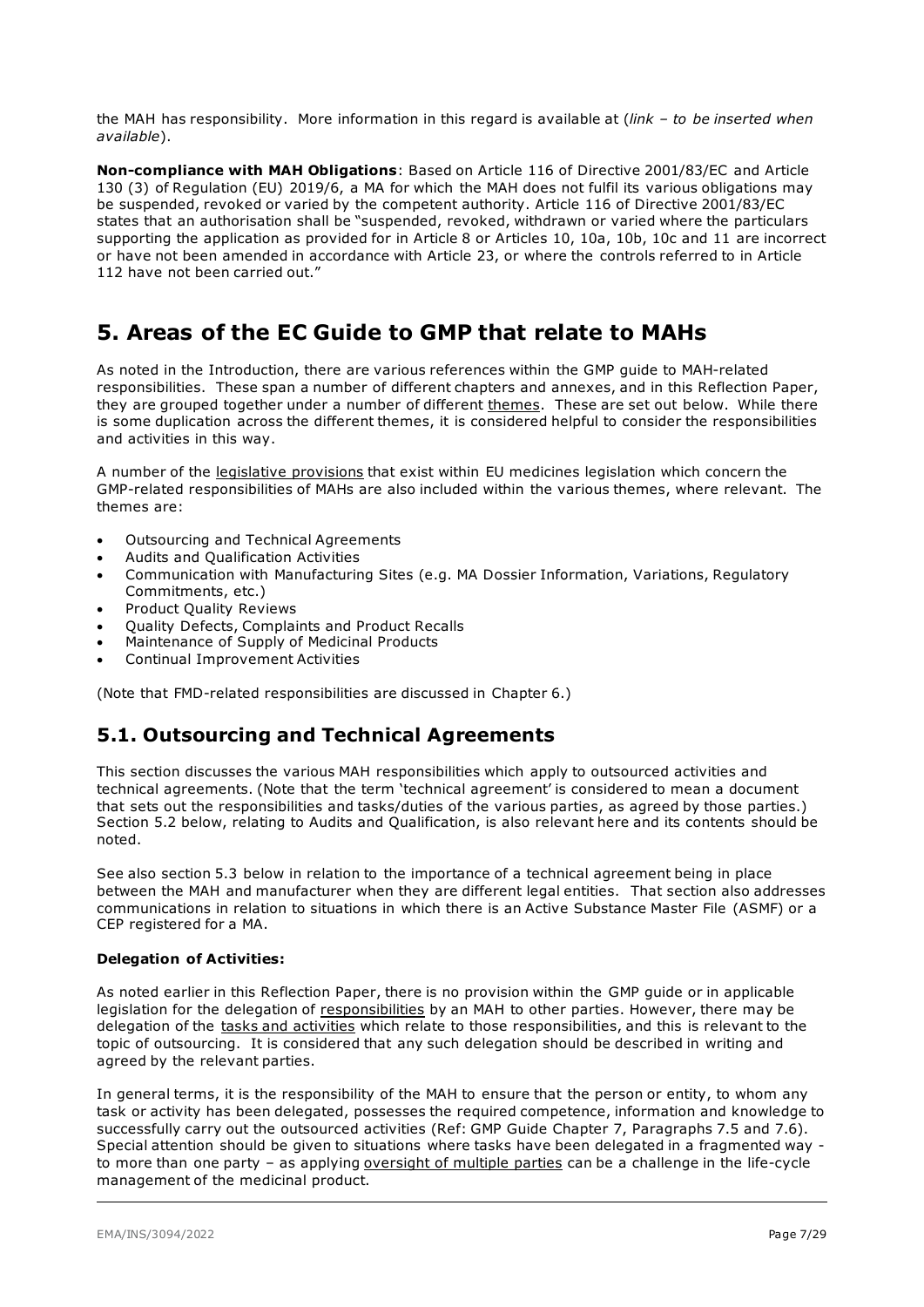the MAH has responsibility. More information in this regard is available at (*link – to be inserted when available*).

**Non-compliance with MAH Obligations**: Based on Article 116 of Directive 2001/83/EC and Article 130 (3) of Regulation (EU) 2019/6, a MA for which the MAH does not fulfil its various obligations may be suspended, revoked or varied by the competent authority. Article 116 of Directive 2001/83/EC states that an authorisation shall be "suspended, revoked, withdrawn or varied where the particulars supporting the application as provided for in Article 8 or Articles 10, 10a, 10b, 10c and 11 are incorrect or have not been amended in accordance with Article 23, or where the controls referred to in Article 112 have not been carried out."

## <span id="page-6-0"></span>**5. Areas of the EC Guide to GMP that relate to MAHs**

As noted in the Introduction, there are various references within the GMP guide to MAH-related responsibilities. These span a number of different chapters and annexes, and in this Reflection Paper, they are grouped together under a number of different themes. These are set out below. While there is some duplication across the different themes, it is considered helpful to consider the responsibilities and activities in this way.

A number of the legislative provisions that exist within EU medicines legislation which concern the GMP-related responsibilities of MAHs are also included within the various themes, where relevant. The themes are:

- Outsourcing and Technical Agreements
- Audits and Qualification Activities
- Communication with Manufacturing Sites (e.g. MA Dossier Information, Variations, Regulatory Commitments, etc.)
- Product Quality Reviews
- Quality Defects, Complaints and Product Recalls
- Maintenance of Supply of Medicinal Products
- Continual Improvement Activities

<span id="page-6-1"></span>(Note that FMD-related responsibilities are discussed in Chapter 6.)

### **5.1. Outsourcing and Technical Agreements**

This section discusses the various MAH responsibilities which apply to outsourced activities and technical agreements. (Note that the term 'technical agreement' is considered to mean a document that sets out the responsibilities and tasks/duties of the various parties, as agreed by those parties.) Section 5.2 below, relating to Audits and Qualification, is also relevant here and its contents should be noted.

See also section 5.3 below in relation to the importance of a technical agreement being in place between the MAH and manufacturer when they are different legal entities. That section also addresses communications in relation to situations in which there is an Active Substance Master File (ASMF) or a CEP registered for a MA.

#### **Delegation of Activities:**

As noted earlier in this Reflection Paper, there is no provision within the GMP guide or in applicable legislation for the delegation of responsibilities by an MAH to other parties. However, there may be delegation of the tasks and activities which relate to those responsibilities, and this is relevant to the topic of outsourcing. It is considered that any such delegation should be described in writing and agreed by the relevant parties.

In general terms, it is the responsibility of the MAH to ensure that the person or entity, to whom any task or activity has been delegated, possesses the required competence, information and knowledge to successfully carry out the outsourced activities (Ref: GMP Guide Chapter 7, Paragraphs 7.5 and 7.6). Special attention should be given to situations where tasks have been delegated in a fragmented way to more than one party - as applying oversight of multiple parties can be a challenge in the life-cycle management of the medicinal product.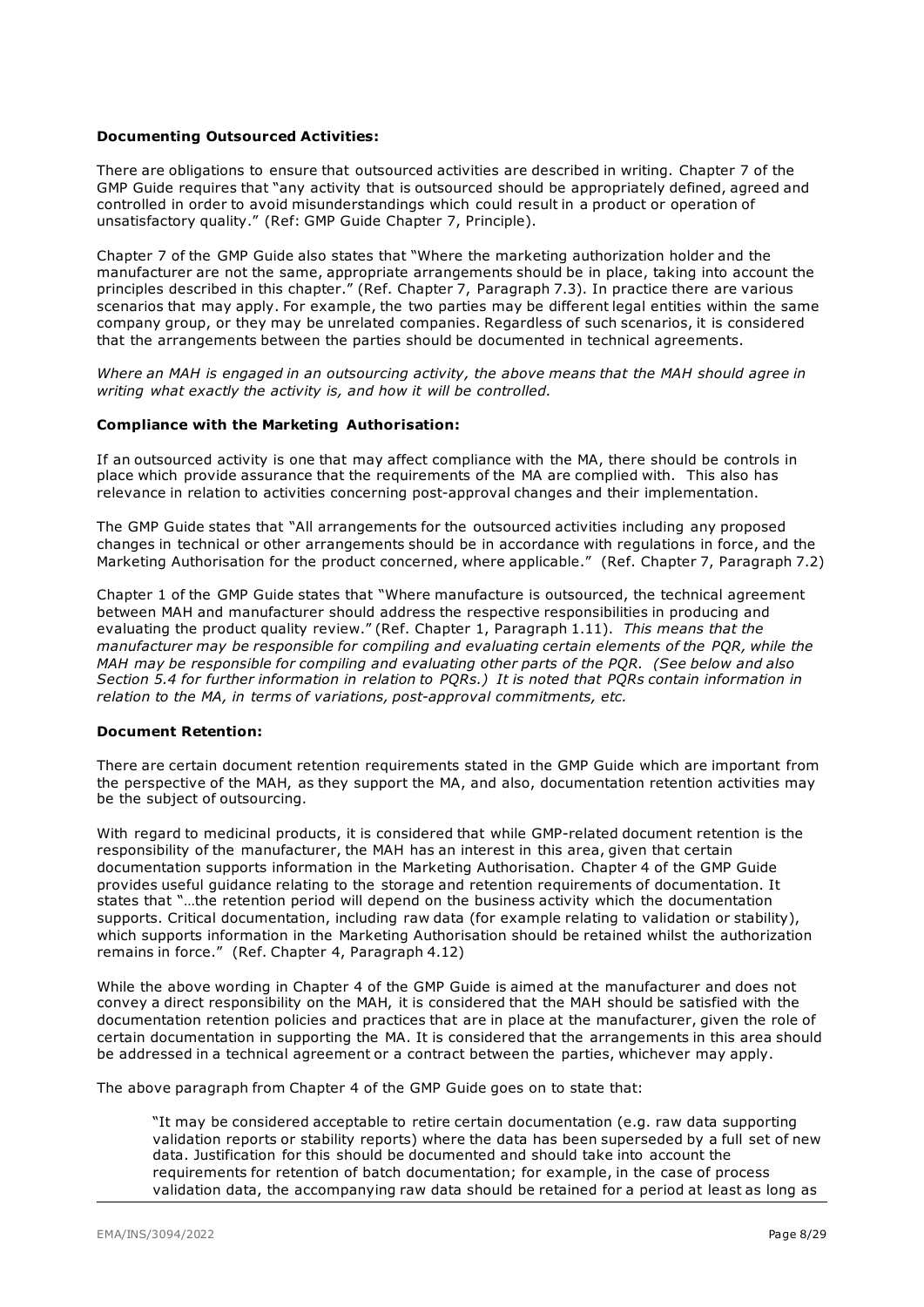#### **Documenting Outsourced Activities:**

There are obligations to ensure that outsourced activities are described in writing. Chapter 7 of the GMP Guide requires that "any activity that is outsourced should be appropriately defined, agreed and controlled in order to avoid misunderstandings which could result in a product or operation of unsatisfactory quality." (Ref: GMP Guide Chapter 7, Principle).

Chapter 7 of the GMP Guide also states that "Where the marketing authorization holder and the manufacturer are not the same, appropriate arrangements should be in place, taking into account the principles described in this chapter." (Ref. Chapter 7, Paragraph 7.3). In practice there are various scenarios that may apply. For example, the two parties may be different legal entities within the same company group, or they may be unrelated companies. Regardless of such scenarios, it is considered that the arrangements between the parties should be documented in technical agreements.

*Where an MAH is engaged in an outsourcing activity, the above means that the MAH should agree in writing what exactly the activity is, and how it will be controlled.* 

#### **Compliance with the Marketing Authorisation:**

If an outsourced activity is one that may affect compliance with the MA, there should be controls in place which provide assurance that the requirements of the MA are complied with. This also has relevance in relation to activities concerning post-approval changes and their implementation.

The GMP Guide states that "All arrangements for the outsourced activities including any proposed changes in technical or other arrangements should be in accordance with regulations in force, and the Marketing Authorisation for the product concerned, where applicable." (Ref. Chapter 7, Paragraph 7.2)

Chapter 1 of the GMP Guide states that "Where manufacture is outsourced, the technical agreement between MAH and manufacturer should address the respective responsibilities in producing and evaluating the product quality review." (Ref. Chapter 1, Paragraph 1.11). *This means that the manufacturer may be responsible for compiling and evaluating certain elements of the PQR, while the MAH may be responsible for compiling and evaluating other parts of the PQR. (See below and also Section 5.4 for further information in relation to PQRs.) It is noted that PQRs contain information in relation to the MA, in terms of variations, post-approval commitments, etc.*

#### **Document Retention:**

There are certain document retention requirements stated in the GMP Guide which are important from the perspective of the MAH, as they support the MA, and also, documentation retention activities may be the subject of outsourcing.

With regard to medicinal products, it is considered that while GMP-related document retention is the responsibility of the manufacturer, the MAH has an interest in this area, given that certain documentation supports information in the Marketing Authorisation. Chapter 4 of the GMP Guide provides useful guidance relating to the storage and retention requirements of documentation. It states that "…the retention period will depend on the business activity which the documentation supports. Critical documentation, including raw data (for example relating to validation or stability), which supports information in the Marketing Authorisation should be retained whilst the authorization remains in force." (Ref. Chapter 4, Paragraph 4.12)

While the above wording in Chapter 4 of the GMP Guide is aimed at the manufacturer and does not convey a direct responsibility on the MAH, it is considered that the MAH should be satisfied with the documentation retention policies and practices that are in place at the manufacturer, given the role of certain documentation in supporting the MA. It is considered that the arrangements in this area should be addressed in a technical agreement or a contract between the parties, whichever may apply.

The above paragraph from Chapter 4 of the GMP Guide goes on to state that:

"It may be considered acceptable to retire certain documentation (e.g. raw data supporting validation reports or stability reports) where the data has been superseded by a full set of new data. Justification for this should be documented and should take into account the requirements for retention of batch documentation; for example, in the case of process validation data, the accompanying raw data should be retained for a period at least as long as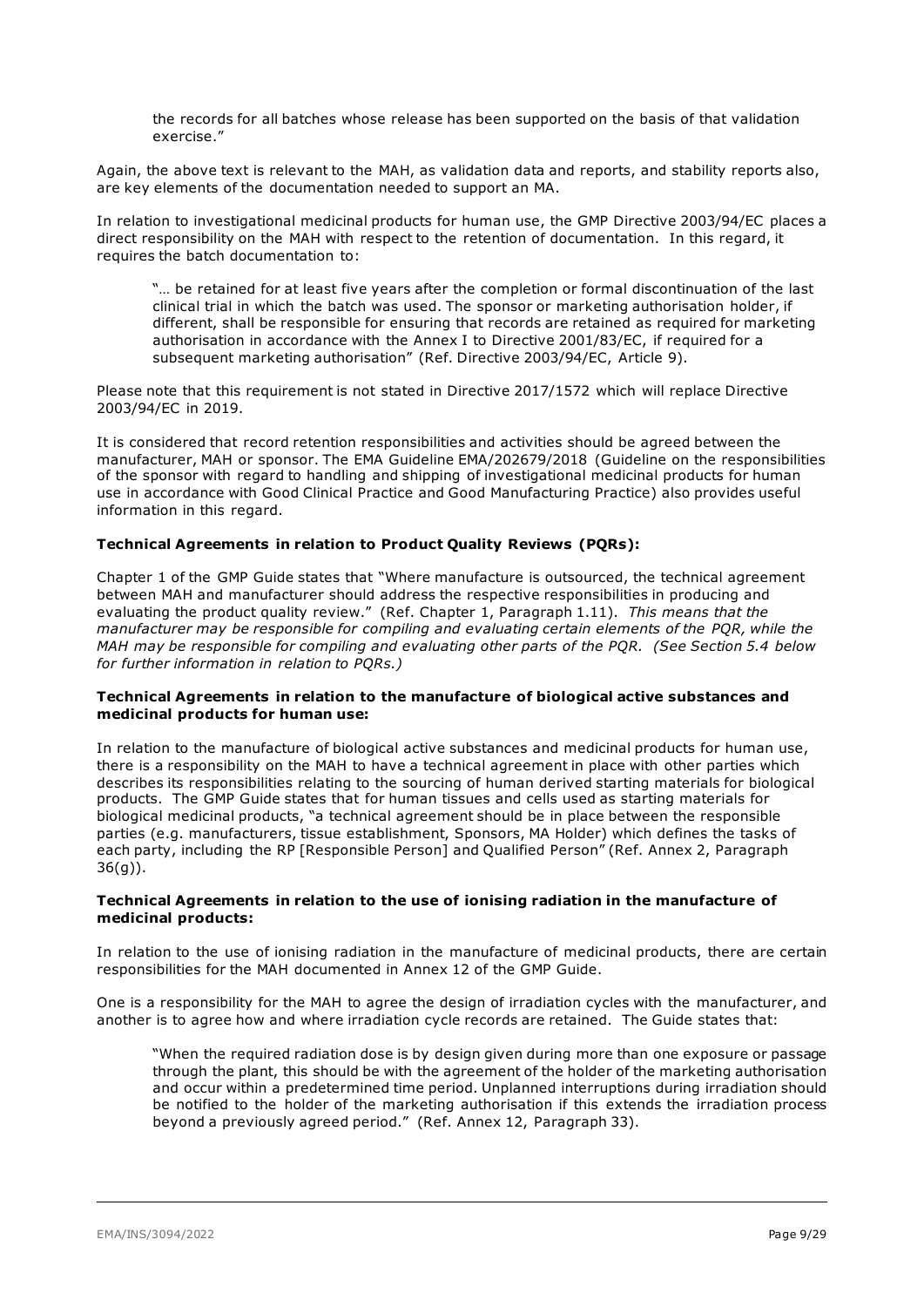the records for all batches whose release has been supported on the basis of that validation exercise."

Again, the above text is relevant to the MAH, as validation data and reports, and stability reports also, are key elements of the documentation needed to support an MA.

In relation to investigational medicinal products for human use, the GMP Directive 2003/94/EC places a direct responsibility on the MAH with respect to the retention of documentation. In this regard, it requires the batch documentation to:

"… be retained for at least five years after the completion or formal discontinuation of the last clinical trial in which the batch was used. The sponsor or marketing authorisation holder, if different, shall be responsible for ensuring that records are retained as required for marketing authorisation in accordance with the Annex I to Directive 2001/83/EC, if required for a subsequent marketing authorisation" (Ref. Directive 2003/94/EC, Article 9).

Please note that this requirement is not stated in Directive 2017/1572 which will replace Directive 2003/94/EC in 2019.

It is considered that record retention responsibilities and activities should be agreed between the manufacturer, MAH or sponsor. The EMA Guideline EMA/202679/2018 (Guideline on the responsibilities of the sponsor with regard to handling and shipping of investigational medicinal products for human use in accordance with Good Clinical Practice and Good Manufacturing Practice) also provides useful information in this regard.

#### **Technical Agreements in relation to Product Quality Reviews (PQRs):**

Chapter 1 of the GMP Guide states that "Where manufacture is outsourced, the technical agreement between MAH and manufacturer should address the respective responsibilities in producing and evaluating the product quality review." (Ref. Chapter 1, Paragraph 1.11). *This means that the manufacturer may be responsible for compiling and evaluating certain elements of the PQR, while the MAH may be responsible for compiling and evaluating other parts of the PQR. (See Section 5.4 below for further information in relation to PQRs.)*

#### **Technical Agreements in relation to the manufacture of biological active substances and medicinal products for human use:**

In relation to the manufacture of biological active substances and medicinal products for human use, there is a responsibility on the MAH to have a technical agreement in place with other parties which describes its responsibilities relating to the sourcing of human derived starting materials for biological products. The GMP Guide states that for human tissues and cells used as starting materials for biological medicinal products, "a technical agreement should be in place between the responsible parties (e.g. manufacturers, tissue establishment, Sponsors, MA Holder) which defines the tasks of each party, including the RP [Responsible Person] and Qualified Person" (Ref. Annex 2, Paragraph 36(g)).

#### **Technical Agreements in relation to the use of ionising radiation in the manufacture of medicinal products:**

In relation to the use of ionising radiation in the manufacture of medicinal products, there are certain responsibilities for the MAH documented in Annex 12 of the GMP Guide.

One is a responsibility for the MAH to agree the design of irradiation cycles with the manufacturer, and another is to agree how and where irradiation cycle records are retained. The Guide states that:

"When the required radiation dose is by design given during more than one exposure or passage through the plant, this should be with the agreement of the holder of the marketing authorisation and occur within a predetermined time period. Unplanned interruptions during irradiation should be notified to the holder of the marketing authorisation if this extends the irradiation process beyond a previously agreed period." (Ref. Annex 12, Paragraph 33).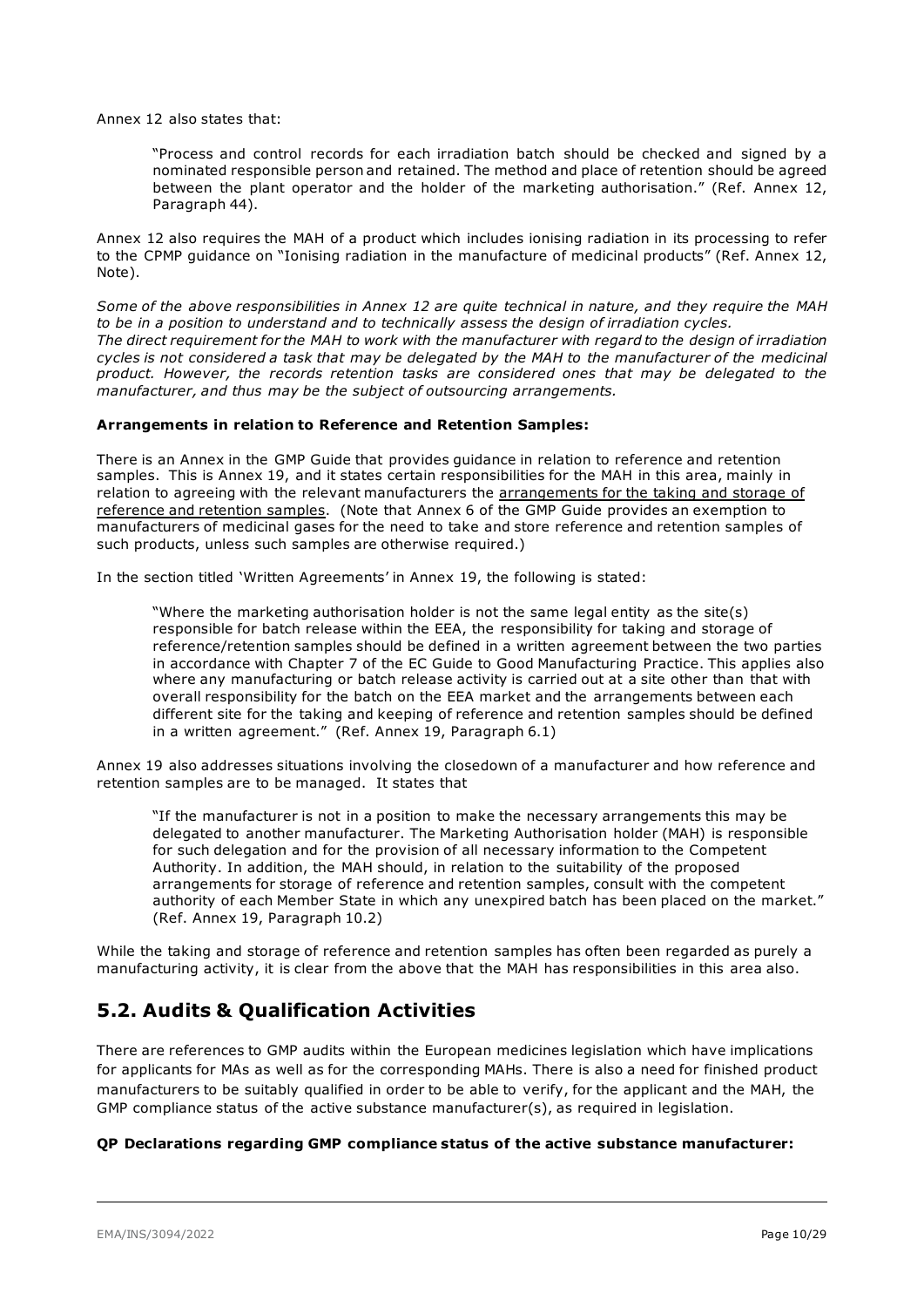Annex 12 also states that:

"Process and control records for each irradiation batch should be checked and signed by a nominated responsible person and retained. The method and place of retention should be agreed between the plant operator and the holder of the marketing authorisation." (Ref. Annex 12, Paragraph 44).

Annex 12 also requires the MAH of a product which includes ionising radiation in its processing to refer to the CPMP guidance on "Ionising radiation in the manufacture of medicinal products" (Ref. Annex 12, Note).

*Some of the above responsibilities in Annex 12 are quite technical in nature, and they require the MAH to be in a position to understand and to technically assess the design of irradiation cycles. The direct requirement for the MAH to work with the manufacturer with regard to the design of irradiation cycles is not considered a task that may be delegated by the MAH to the manufacturer of the medicinal product. However, the records retention tasks are considered ones that may be delegated to the manufacturer, and thus may be the subject of outsourcing arrangements.*

#### **Arrangements in relation to Reference and Retention Samples:**

There is an Annex in the GMP Guide that provides guidance in relation to reference and retention samples. This is Annex 19, and it states certain responsibilities for the MAH in this area, mainly in relation to agreeing with the relevant manufacturers the arrangements for the taking and storage of reference and retention samples. (Note that Annex 6 of the GMP Guide provides an exemption to manufacturers of medicinal gases for the need to take and store reference and retention samples of such products, unless such samples are otherwise required.)

In the section titled 'Written Agreements' in Annex 19, the following is stated:

"Where the marketing authorisation holder is not the same legal entity as the site(s) responsible for batch release within the EEA, the responsibility for taking and storage of reference/retention samples should be defined in a written agreement between the two parties in accordance with Chapter 7 of the EC Guide to Good Manufacturing Practice. This applies also where any manufacturing or batch release activity is carried out at a site other than that with overall responsibility for the batch on the EEA market and the arrangements between each different site for the taking and keeping of reference and retention samples should be defined in a written agreement." (Ref. Annex 19, Paragraph 6.1)

Annex 19 also addresses situations involving the closedown of a manufacturer and how reference and retention samples are to be managed. It states that

"If the manufacturer is not in a position to make the necessary arrangements this may be delegated to another manufacturer. The Marketing Authorisation holder (MAH) is responsible for such delegation and for the provision of all necessary information to the Competent Authority. In addition, the MAH should, in relation to the suitability of the proposed arrangements for storage of reference and retention samples, consult with the competent authority of each Member State in which any unexpired batch has been placed on the market." (Ref. Annex 19, Paragraph 10.2)

While the taking and storage of reference and retention samples has often been regarded as purely a manufacturing activity, it is clear from the above that the MAH has responsibilities in this area also.

### **5.2. Audits & Qualification Activities**

There are references to GMP audits within the European medicines legislation which have implications for applicants for MAs as well as for the corresponding MAHs. There is also a need for finished product manufacturers to be suitably qualified in order to be able to verify, for the applicant and the MAH, the GMP compliance status of the active substance manufacturer(s), as required in legislation.

#### **QP Declarations regarding GMP compliance status of the active substance manufacturer:**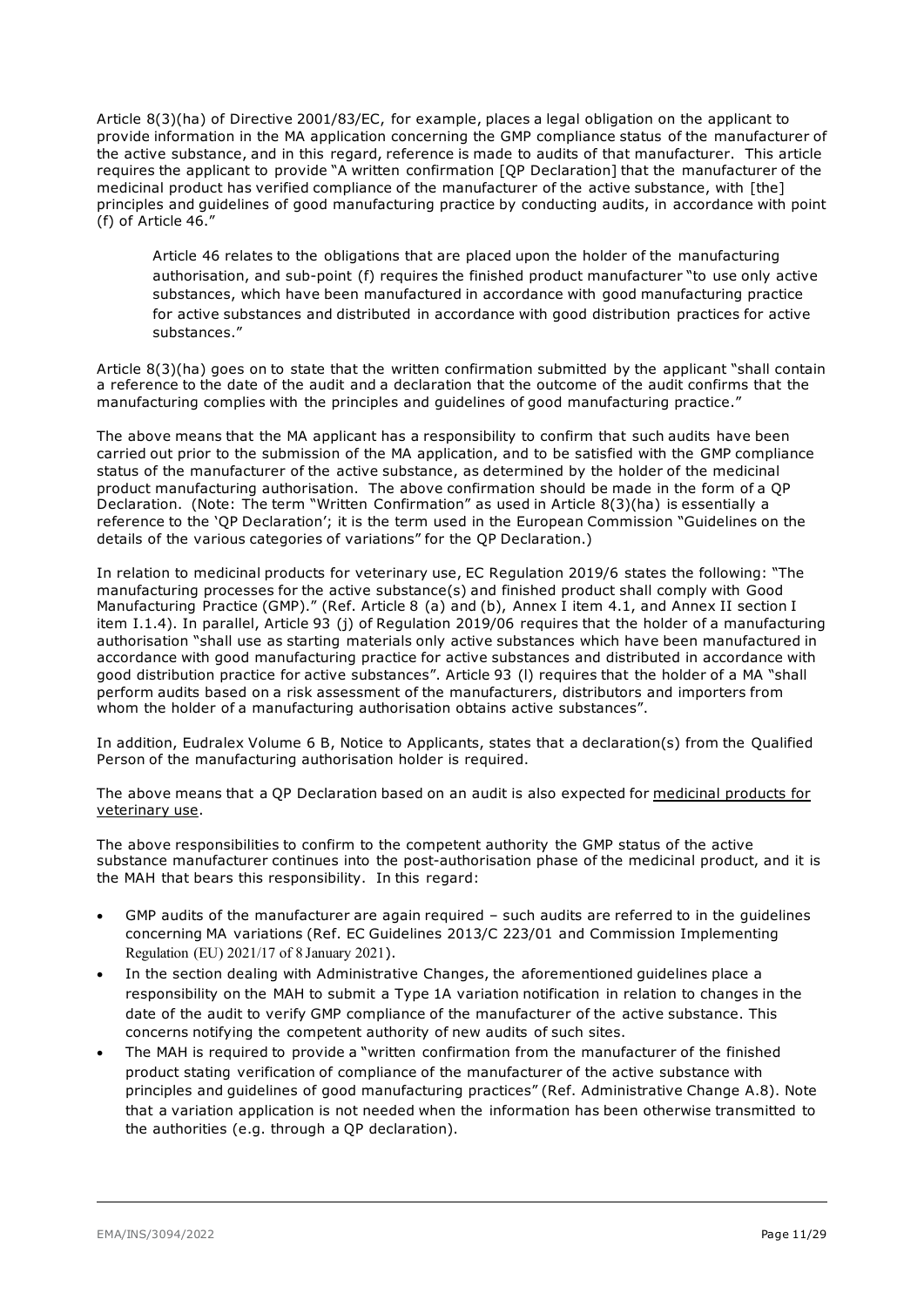Article 8(3)(ha) of Directive 2001/83/EC, for example, places a legal obligation on the applicant to provide information in the MA application concerning the GMP compliance status of the manufacturer of the active substance, and in this regard, reference is made to audits of that manufacturer. This article requires the applicant to provide "A written confirmation [QP Declaration] that the manufacturer of the medicinal product has verified compliance of the manufacturer of the active substance, with [the] principles and guidelines of good manufacturing practice by conducting audits, in accordance with point (f) of Article 46."

Article 46 relates to the obligations that are placed upon the holder of the manufacturing authorisation, and sub-point (f) requires the finished product manufacturer "to use only active substances, which have been manufactured in accordance with good manufacturing practice for active substances and distributed in accordance with good distribution practices for active substances."

Article 8(3)(ha) goes on to state that the written confirmation submitted by the applicant "shall contain a reference to the date of the audit and a declaration that the outcome of the audit confirms that the manufacturing complies with the principles and guidelines of good manufacturing practice."

The above means that the MA applicant has a responsibility to confirm that such audits have been carried out prior to the submission of the MA application, and to be satisfied with the GMP compliance status of the manufacturer of the active substance, as determined by the holder of the medicinal product manufacturing authorisation. The above confirmation should be made in the form of a QP Declaration. (Note: The term "Written Confirmation" as used in Article 8(3)(ha) is essentially a reference to the 'QP Declaration'; it is the term used in the European Commission "Guidelines on the details of the various categories of variations" for the QP Declaration.)

In relation to medicinal products for veterinary use, EC Regulation 2019/6 states the following: "The manufacturing processes for the active substance(s) and finished product shall comply with Good Manufacturing Practice (GMP)." (Ref. Article 8 (a) and (b), Annex I item 4.1, and Annex II section I item I.1.4). In parallel, Article 93 (j) of Regulation 2019/06 requires that the holder of a manufacturing authorisation "shall use as starting materials only active substances which have been manufactured in accordance with good manufacturing practice for active substances and distributed in accordance with good distribution practice for active substances". Article 93 (l) requires that the holder of a MA "shall perform audits based on a risk assessment of the manufacturers, distributors and importers from whom the holder of a manufacturing authorisation obtains active substances".

In addition, Eudralex Volume 6 B, Notice to Applicants, states that a declaration(s) from the Qualified Person of the manufacturing authorisation holder is required.

The above means that a QP Declaration based on an audit is also expected for medicinal products for veterinary use.

The above responsibilities to confirm to the competent authority the GMP status of the active substance manufacturer continues into the post-authorisation phase of the medicinal product, and it is the MAH that bears this responsibility. In this regard:

- GMP audits of the manufacturer are again required such audits are referred to in the guidelines concerning MA variations (Ref. EC Guidelines 2013/C 223/01 and Commission Implementing Regulation (EU) 2021/17 of 8 January 2021).
- In the section dealing with Administrative Changes, the aforementioned guidelines place a responsibility on the MAH to submit a Type 1A variation notification in relation to changes in the date of the audit to verify GMP compliance of the manufacturer of the active substance. This concerns notifying the competent authority of new audits of such sites.
- The MAH is required to provide a "written confirmation from the manufacturer of the finished product stating verification of compliance of the manufacturer of the active substance with principles and guidelines of good manufacturing practices" (Ref. Administrative Change A.8). Note that a variation application is not needed when the information has been otherwise transmitted to the authorities (e.g. through a QP declaration).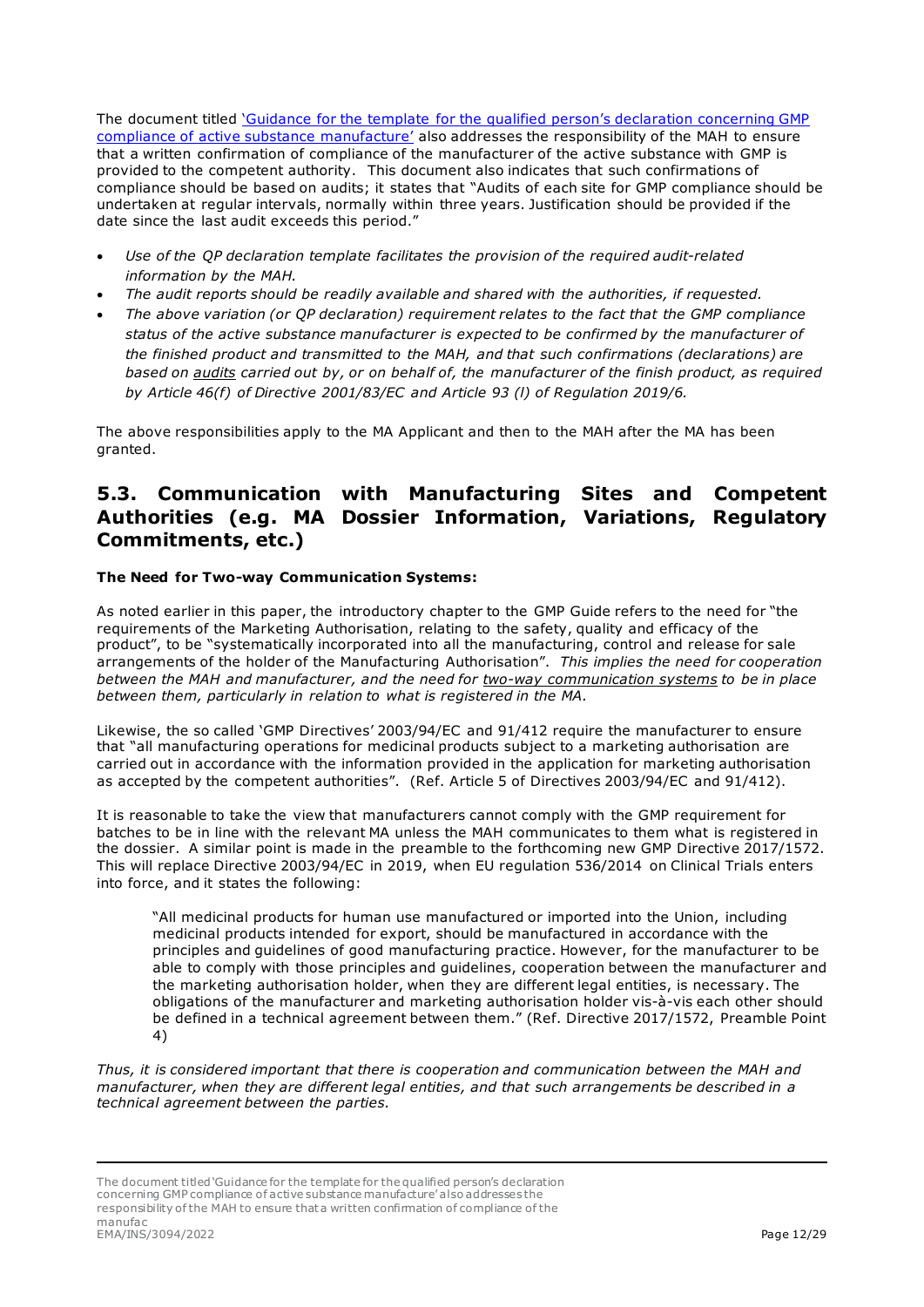The document titled ['Guidance for the template for the qualified person's declaration concerning GMP](https://www.ema.europa.eu/en/documents/regulatory-procedural-guideline/guidance-template-qualified-persons-declaration-concerning-good-manufacturing-practice-gmp_en.pdf)  [compliance of active substance manufacture'](https://www.ema.europa.eu/en/documents/regulatory-procedural-guideline/guidance-template-qualified-persons-declaration-concerning-good-manufacturing-practice-gmp_en.pdf) also addresses the responsibility of the MAH to ensure that a written confirmation of compliance of the manufacturer of the active substance with GMP is provided to the competent authority. This document also indicates that such confirmations of compliance should be based on audits; it states that "Audits of each site for GMP compliance should be undertaken at regular intervals, normally within three years. Justification should be provided if the date since the last audit exceeds this period."

- *Use of the QP declaration template facilitates the provision of the required audit-related information by the MAH.*
- *The audit reports should be readily available and shared with the authorities, if requested.*
- *The above variation (or QP declaration) requirement relates to the fact that the GMP compliance status of the active substance manufacturer is expected to be confirmed by the manufacturer of the finished product and transmitted to the MAH, and that such confirmations (declarations) are based on audits carried out by, or on behalf of, the manufacturer of the finish product, as required by Article 46(f) of Directive 2001/83/EC and Article 93 (l) of Regulation 2019/6.*

The above responsibilities apply to the MA Applicant and then to the MAH after the MA has been granted.

### <span id="page-11-0"></span>**5.3. Communication with Manufacturing Sites and Competent Authorities (e.g. MA Dossier Information, Variations, Regulatory Commitments, etc.)**

#### **The Need for Two-way Communication Systems:**

As noted earlier in this paper, the introductory chapter to the GMP Guide refers to the need for "the requirements of the Marketing Authorisation, relating to the safety, quality and efficacy of the product", to be "systematically incorporated into all the manufacturing, control and release for sale arrangements of the holder of the Manufacturing Authorisation". *This implies the need for cooperation between the MAH and manufacturer, and the need for two-way communication systems to be in place between them, particularly in relation to what is registered in the MA.* 

Likewise, the so called 'GMP Directives' 2003/94/EC and 91/412 require the manufacturer to ensure that "all manufacturing operations for medicinal products subject to a marketing authorisation are carried out in accordance with the information provided in the application for marketing authorisation as accepted by the competent authorities". (Ref. Article 5 of Directives 2003/94/EC and 91/412).

It is reasonable to take the view that manufacturers cannot comply with the GMP requirement for batches to be in line with the relevant MA unless the MAH communicates to them what is registered in the dossier. A similar point is made in the preamble to the forthcoming new GMP Directive 2017/1572. This will replace Directive 2003/94/EC in 2019, when EU regulation 536/2014 on Clinical Trials enters into force, and it states the following:

"All medicinal products for human use manufactured or imported into the Union, including medicinal products intended for export, should be manufactured in accordance with the principles and guidelines of good manufacturing practice. However, for the manufacturer to be able to comply with those principles and guidelines, cooperation between the manufacturer and the marketing authorisation holder, when they are different legal entities, is necessary. The obligations of the manufacturer and marketing authorisation holder vis-à-vis each other should be defined in a technical agreement between them." (Ref. Directive 2017/1572, Preamble Point 4)

*Thus, it is considered important that there is cooperation and communication between the MAH and manufacturer, when they are different legal entities, and that such arrangements be described in a technical agreement between the parties.*

The document titled 'Guidance for the template for the qualified person's declaration concerning GMP compliance of active substance manufacture' also addresses the responsibility of the MAH to ensure that a written confirmation of compliance of the manufac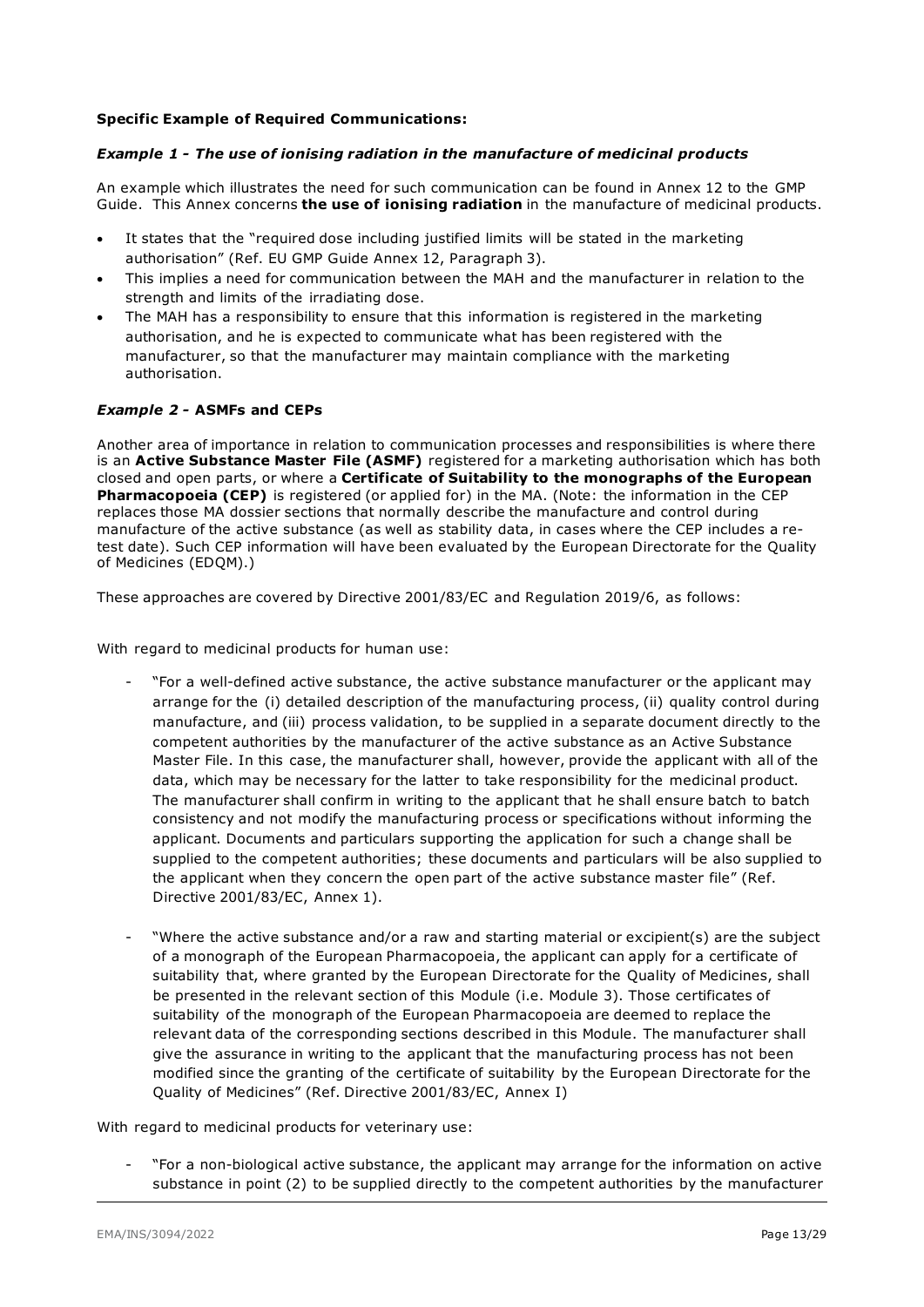#### **Specific Example of Required Communications:**

#### *Example 1 - The use of ionising radiation in the manufacture of medicinal products*

An example which illustrates the need for such communication can be found in Annex 12 to the GMP Guide. This Annex concerns **the use of ionising radiation** in the manufacture of medicinal products.

- It states that the "required dose including justified limits will be stated in the marketing authorisation" (Ref. EU GMP Guide Annex 12, Paragraph 3).
- This implies a need for communication between the MAH and the manufacturer in relation to the strength and limits of the irradiating dose.
- The MAH has a responsibility to ensure that this information is registered in the marketing authorisation, and he is expected to communicate what has been registered with the manufacturer, so that the manufacturer may maintain compliance with the marketing authorisation.

#### *Example 2 -* **ASMFs and CEPs**

Another area of importance in relation to communication processes and responsibilities is where there is an **Active Substance Master File (ASMF)** registered for a marketing authorisation which has both closed and open parts, or where a **Certificate of Suitability to the monographs of the European Pharmacopoeia (CEP)** is registered (or applied for) in the MA. (Note: the information in the CEP replaces those MA dossier sections that normally describe the manufacture and control during manufacture of the active substance (as well as stability data, in cases where the CEP includes a retest date). Such CEP information will have been evaluated by the European Directorate for the Quality of Medicines (EDQM).)

These approaches are covered by Directive 2001/83/EC and Regulation 2019/6, as follows:

With regard to medicinal products for human use:

- "For a well-defined active substance, the active substance manufacturer or the applicant may arrange for the (i) detailed description of the manufacturing process, (ii) quality control during manufacture, and (iii) process validation, to be supplied in a separate document directly to the competent authorities by the manufacturer of the active substance as an Active Substance Master File. In this case, the manufacturer shall, however, provide the applicant with all of the data, which may be necessary for the latter to take responsibility for the medicinal product. The manufacturer shall confirm in writing to the applicant that he shall ensure batch to batch consistency and not modify the manufacturing process or specifications without informing the applicant. Documents and particulars supporting the application for such a change shall be supplied to the competent authorities; these documents and particulars will be also supplied to the applicant when they concern the open part of the active substance master file" (Ref. Directive 2001/83/EC, Annex 1).
- "Where the active substance and/or a raw and starting material or excipient(s) are the subject of a monograph of the European Pharmacopoeia, the applicant can apply for a certificate of suitability that, where granted by the European Directorate for the Quality of Medicines, shall be presented in the relevant section of this Module (i.e. Module 3). Those certificates of suitability of the monograph of the European Pharmacopoeia are deemed to replace the relevant data of the corresponding sections described in this Module. The manufacturer shall give the assurance in writing to the applicant that the manufacturing process has not been modified since the granting of the certificate of suitability by the European Directorate for the Quality of Medicines" (Ref. Directive 2001/83/EC, Annex I)

With regard to medicinal products for veterinary use:

- "For a non-biological active substance, the applicant may arrange for the information on active substance in point (2) to be supplied directly to the competent authorities by the manufacturer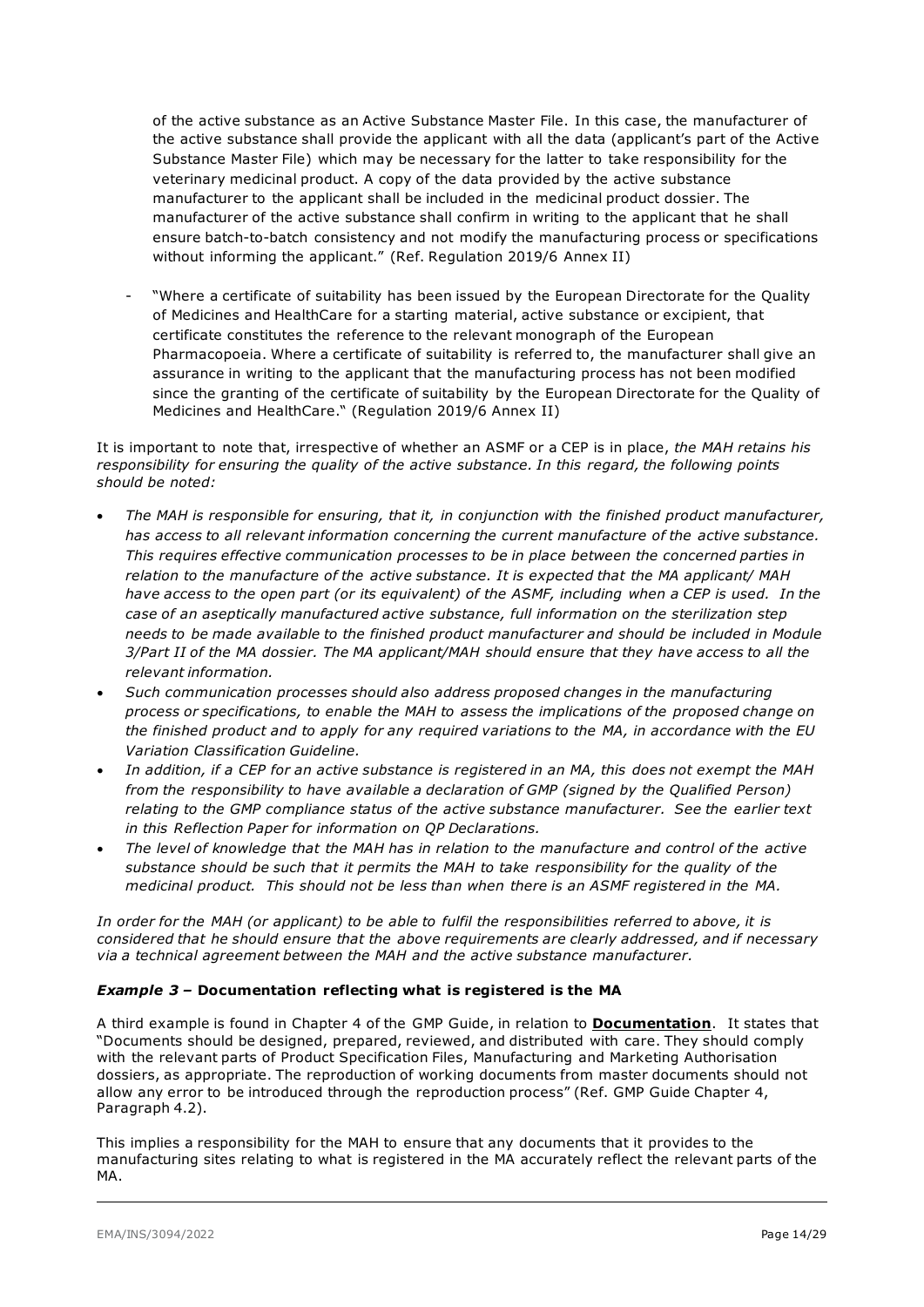of the active substance as an Active Substance Master File. In this case, the manufacturer of the active substance shall provide the applicant with all the data (applicant's part of the Active Substance Master File) which may be necessary for the latter to take responsibility for the veterinary medicinal product. A copy of the data provided by the active substance manufacturer to the applicant shall be included in the medicinal product dossier. The manufacturer of the active substance shall confirm in writing to the applicant that he shall ensure batch-to-batch consistency and not modify the manufacturing process or specifications without informing the applicant." (Ref. Regulation 2019/6 Annex II)

"Where a certificate of suitability has been issued by the European Directorate for the Quality of Medicines and HealthCare for a starting material, active substance or excipient, that certificate constitutes the reference to the relevant monograph of the European Pharmacopoeia. Where a certificate of suitability is referred to, the manufacturer shall give an assurance in writing to the applicant that the manufacturing process has not been modified since the granting of the certificate of suitability by the European Directorate for the Quality of Medicines and HealthCare." (Regulation 2019/6 Annex II)

It is important to note that, irrespective of whether an ASMF or a CEP is in place, *the MAH retains his responsibility for ensuring the quality of the active substance. In this regard, the following points should be noted:*

- *The MAH is responsible for ensuring, that it, in conjunction with the finished product manufacturer, has access to all relevant information concerning the current manufacture of the active substance. This requires effective communication processes to be in place between the concerned parties in relation to the manufacture of the active substance. It is expected that the MA applicant/ MAH have access to the open part (or its equivalent) of the ASMF, including when a CEP is used. In the case of an aseptically manufactured active substance, full information on the sterilization step needs to be made available to the finished product manufacturer and should be included in Module 3/Part II of the MA dossier. The MA applicant/MAH should ensure that they have access to all the relevant information.*
- *Such communication processes should also address proposed changes in the manufacturing process or specifications, to enable the MAH to assess the implications of the proposed change on the finished product and to apply for any required variations to the MA, in accordance with the EU Variation Classification Guideline.*
- *In addition, if a CEP for an active substance is registered in an MA, this does not exempt the MAH from the responsibility to have available a declaration of GMP (signed by the Qualified Person) relating to the GMP compliance status of the active substance manufacturer. See the earlier text in this Reflection Paper for information on QP Declarations.*
- *The level of knowledge that the MAH has in relation to the manufacture and control of the active substance should be such that it permits the MAH to take responsibility for the quality of the medicinal product. This should not be less than when there is an ASMF registered in the MA.*

*In order for the MAH (or applicant) to be able to fulfil the responsibilities referred to above, it is considered that he should ensure that the above requirements are clearly addressed, and if necessary via a technical agreement between the MAH and the active substance manufacturer.* 

#### *Example 3 –* **Documentation reflecting what is registered is the MA**

A third example is found in Chapter 4 of the GMP Guide, in relation to **Documentation**. It states that "Documents should be designed, prepared, reviewed, and distributed with care. They should comply with the relevant parts of Product Specification Files, Manufacturing and Marketing Authorisation dossiers, as appropriate. The reproduction of working documents from master documents should not allow any error to be introduced through the reproduction process" (Ref. GMP Guide Chapter 4, Paragraph 4.2).

This implies a responsibility for the MAH to ensure that any documents that it provides to the manufacturing sites relating to what is registered in the MA accurately reflect the relevant parts of the MA.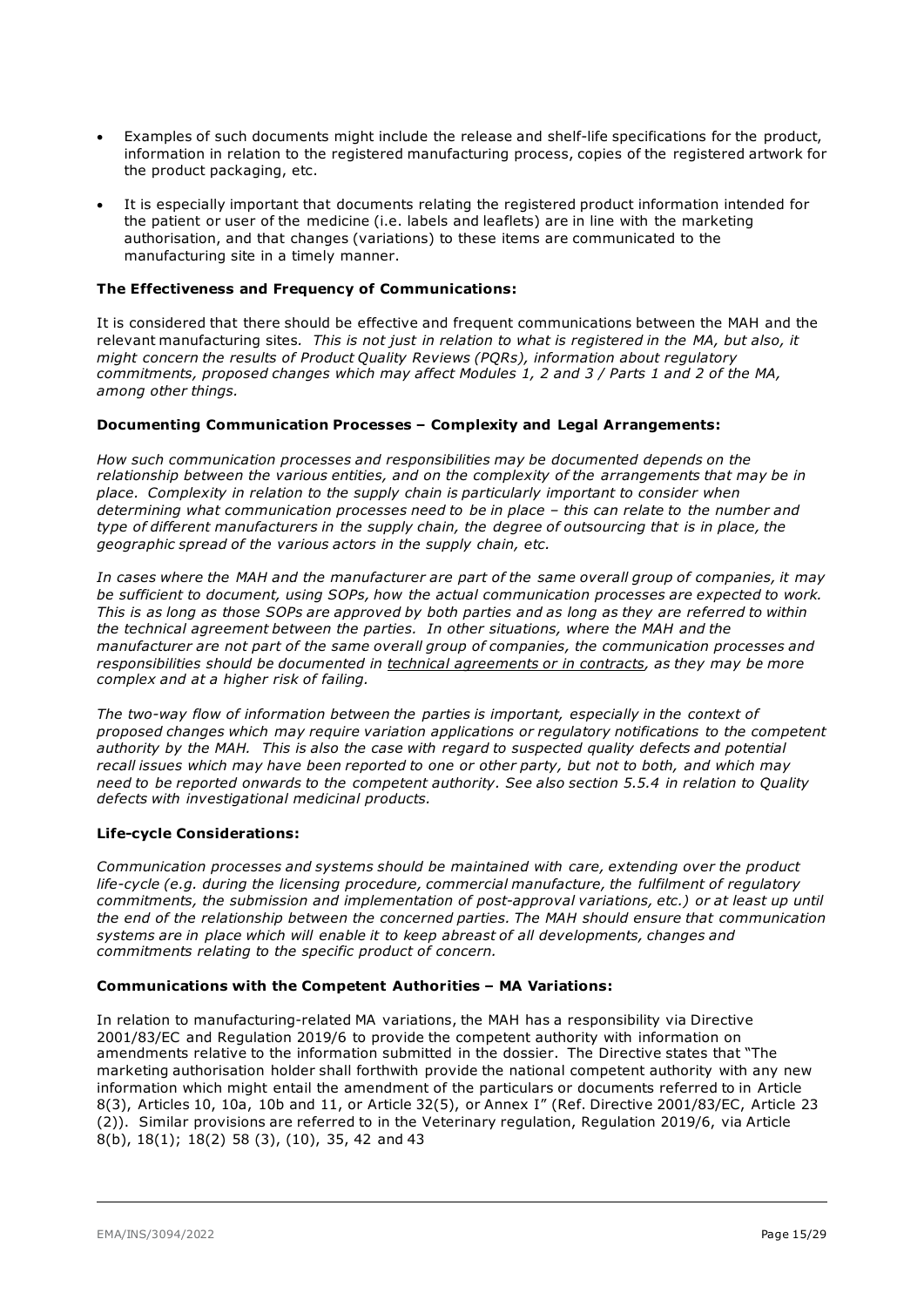- Examples of such documents might include the release and shelf-life specifications for the product, information in relation to the registered manufacturing process, copies of the registered artwork for the product packaging, etc.
- It is especially important that documents relating the registered product information intended for the patient or user of the medicine (i.e. labels and leaflets) are in line with the marketing authorisation, and that changes (variations) to these items are communicated to the manufacturing site in a timely manner.

#### **The Effectiveness and Frequency of Communications:**

It is considered that there should be effective and frequent communications between the MAH and the relevant manufacturing sites*. This is not just in relation to what is registered in the MA, but also, it might concern the results of Product Quality Reviews (PQRs), information about regulatory commitments, proposed changes which may affect Modules 1, 2 and 3 / Parts 1 and 2 of the MA, among other things.*

#### **Documenting Communication Processes – Complexity and Legal Arrangements:**

*How such communication processes and responsibilities may be documented depends on the relationship between the various entities, and on the complexity of the arrangements that may be in place. Complexity in relation to the supply chain is particularly important to consider when determining what communication processes need to be in place – this can relate to the number and type of different manufacturers in the supply chain, the degree of outsourcing that is in place, the geographic spread of the various actors in the supply chain, etc.*

*In cases where the MAH and the manufacturer are part of the same overall group of companies, it may be sufficient to document, using SOPs, how the actual communication processes are expected to work. This is as long as those SOPs are approved by both parties and as long as they are referred to within the technical agreement between the parties. In other situations, where the MAH and the manufacturer are not part of the same overall group of companies, the communication processes and responsibilities should be documented in technical agreements or in contracts, as they may be more complex and at a higher risk of failing.* 

*The two-way flow of information between the parties is important, especially in the context of proposed changes which may require variation applications or regulatory notifications to the competent authority by the MAH. This is also the case with regard to suspected quality defects and potential recall issues which may have been reported to one or other party, but not to both, and which may need to be reported onwards to the competent authority. See also section 5.5.4 in relation to Quality defects with investigational medicinal products.*

#### **Life-cycle Considerations:**

*Communication processes and systems should be maintained with care, extending over the product life-cycle (e.g. during the licensing procedure, commercial manufacture, the fulfilment of regulatory commitments, the submission and implementation of post-approval variations, etc.) or at least up until the end of the relationship between the concerned parties. The MAH should ensure that communication systems are in place which will enable it to keep abreast of all developments, changes and commitments relating to the specific product of concern.*

#### **Communications with the Competent Authorities – MA Variations:**

In relation to manufacturing-related MA variations, the MAH has a responsibility via Directive 2001/83/EC and Regulation 2019/6 to provide the competent authority with information on amendments relative to the information submitted in the dossier. The Directive states that "The marketing authorisation holder shall forthwith provide the national competent authority with any new information which might entail the amendment of the particulars or documents referred to in Article 8(3), Articles 10, 10a, 10b and 11, or Article 32(5), or Annex I" (Ref. Directive 2001/83/EC, Article 23 (2)). Similar provisions are referred to in the Veterinary regulation, Regulation 2019/6, via Article 8(b), 18(1); 18(2) 58 (3), (10), 35, 42 and 43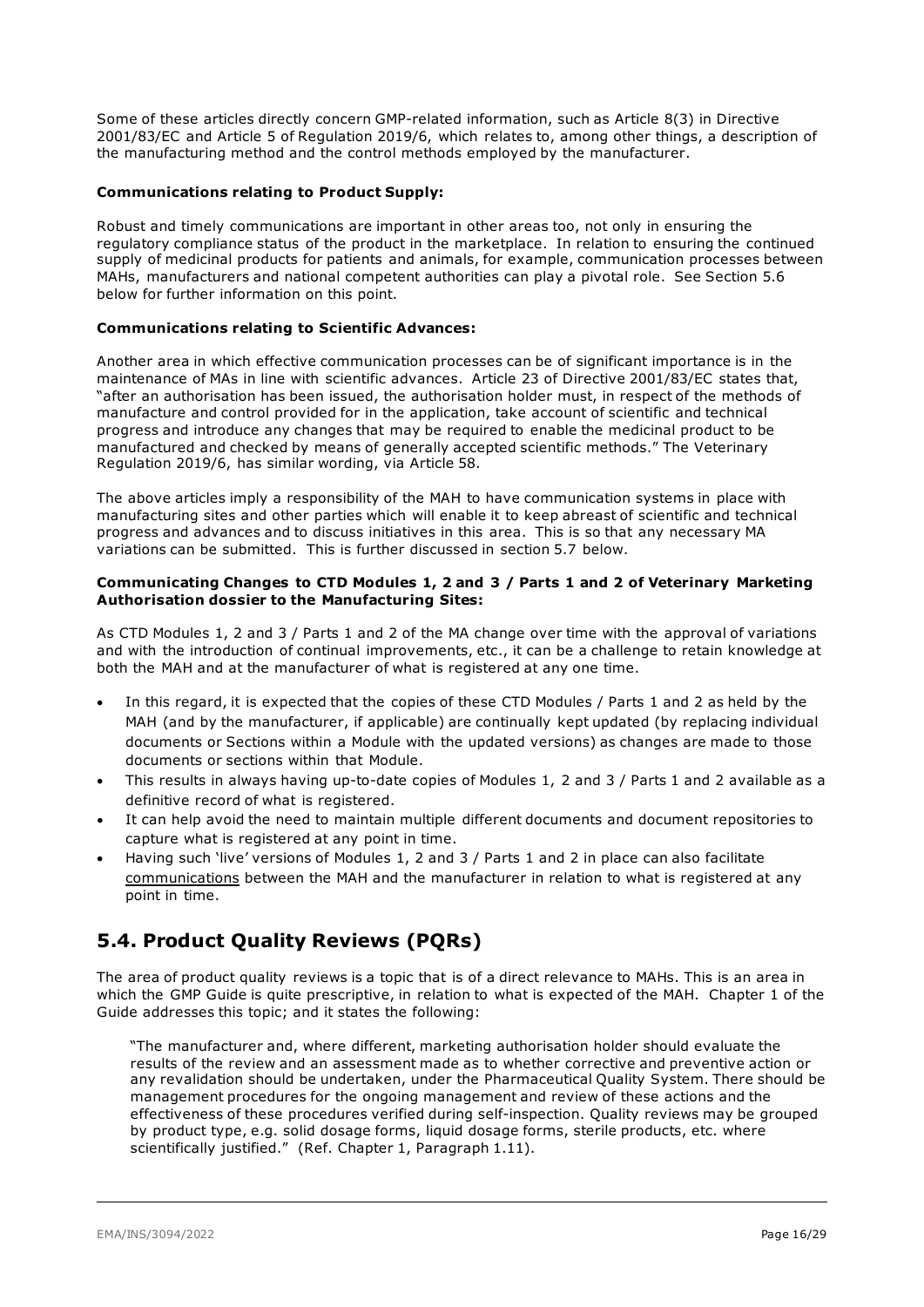Some of these articles directly concern GMP-related information, such as Article 8(3) in Directive 2001/83/EC and Article 5 of Regulation 2019/6, which relates to, among other things, a description of the manufacturing method and the control methods employed by the manufacturer.

#### **Communications relating to Product Supply:**

Robust and timely communications are important in other areas too, not only in ensuring the regulatory compliance status of the product in the marketplace. In relation to ensuring the continued supply of medicinal products for patients and animals, for example, communication processes between MAHs, manufacturers and national competent authorities can play a pivotal role. See Section 5.6 below for further information on this point.

#### **Communications relating to Scientific Advances:**

Another area in which effective communication processes can be of significant importance is in the maintenance of MAs in line with scientific advances. Article 23 of Directive 2001/83/EC states that, "after an authorisation has been issued, the authorisation holder must, in respect of the methods of manufacture and control provided for in the application, take account of scientific and technical progress and introduce any changes that may be required to enable the medicinal product to be manufactured and checked by means of generally accepted scientific methods." The Veterinary Regulation 2019/6, has similar wording, via Article 58.

The above articles imply a responsibility of the MAH to have communication systems in place with manufacturing sites and other parties which will enable it to keep abreast of scientific and technical progress and advances and to discuss initiatives in this area. This is so that any necessary MA variations can be submitted. This is further discussed in section 5.7 below.

#### **Communicating Changes to CTD Modules 1, 2 and 3 / Parts 1 and 2 of Veterinary Marketing Authorisation dossier to the Manufacturing Sites:**

As CTD Modules 1, 2 and 3 / Parts 1 and 2 of the MA change over time with the approval of variations and with the introduction of continual improvements, etc., it can be a challenge to retain knowledge at both the MAH and at the manufacturer of what is registered at any one time.

- In this regard, it is expected that the copies of these CTD Modules / Parts 1 and 2 as held by the MAH (and by the manufacturer, if applicable) are continually kept updated (by replacing individual documents or Sections within a Module with the updated versions) as changes are made to those documents or sections within that Module.
- This results in always having up-to-date copies of Modules 1, 2 and 3 / Parts 1 and 2 available as a definitive record of what is registered.
- It can help avoid the need to maintain multiple different documents and document repositories to capture what is registered at any point in time.
- Having such 'live' versions of Modules 1, 2 and 3 / Parts 1 and 2 in place can also facilitate communications between the MAH and the manufacturer in relation to what is registered at any point in time.

### <span id="page-15-0"></span>**5.4. Product Quality Reviews (PQRs)**

The area of product quality reviews is a topic that is of a direct relevance to MAHs. This is an area in which the GMP Guide is quite prescriptive, in relation to what is expected of the MAH. Chapter 1 of the Guide addresses this topic; and it states the following:

"The manufacturer and, where different, marketing authorisation holder should evaluate the results of the review and an assessment made as to whether corrective and preventive action or any revalidation should be undertaken, under the Pharmaceutical Quality System. There should be management procedures for the ongoing management and review of these actions and the effectiveness of these procedures verified during self-inspection. Quality reviews may be grouped by product type, e.g. solid dosage forms, liquid dosage forms, sterile products, etc. where scientifically justified." (Ref. Chapter 1, Paragraph 1.11).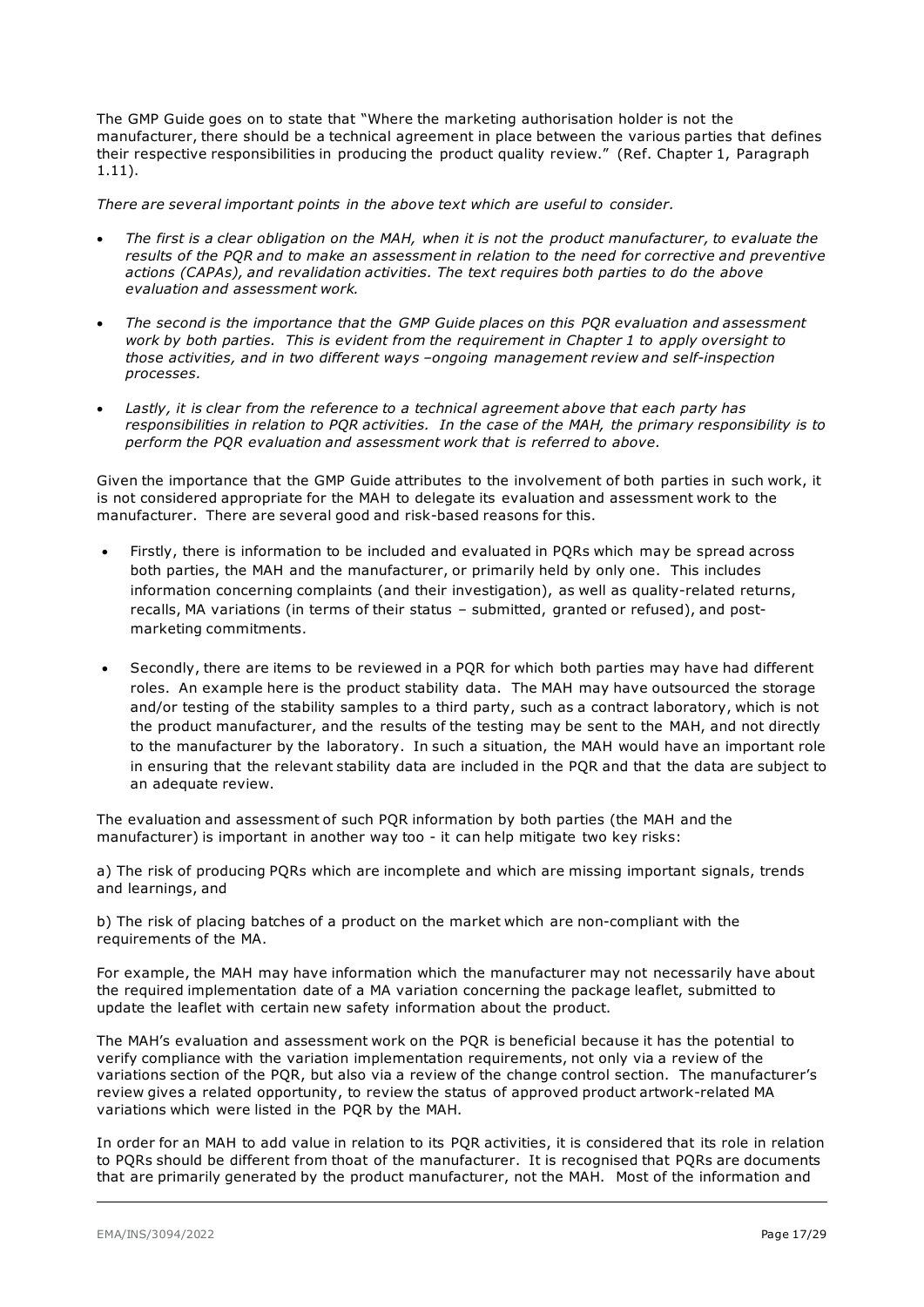The GMP Guide goes on to state that "Where the marketing authorisation holder is not the manufacturer, there should be a technical agreement in place between the various parties that defines their respective responsibilities in producing the product quality review." (Ref. Chapter 1, Paragraph 1.11).

*There are several important points in the above text which are useful to consider.* 

- *The first is a clear obligation on the MAH, when it is not the product manufacturer, to evaluate the results of the PQR and to make an assessment in relation to the need for corrective and preventive actions (CAPAs), and revalidation activities. The text requires both parties to do the above evaluation and assessment work.*
- *The second is the importance that the GMP Guide places on this PQR evaluation and assessment work by both parties. This is evident from the requirement in Chapter 1 to apply oversight to those activities, and in two different ways –ongoing management review and self-inspection processes.*
- *Lastly, it is clear from the reference to a technical agreement above that each party has responsibilities in relation to PQR activities. In the case of the MAH, the primary responsibility is to perform the PQR evaluation and assessment work that is referred to above.*

Given the importance that the GMP Guide attributes to the involvement of both parties in such work, it is not considered appropriate for the MAH to delegate its evaluation and assessment work to the manufacturer. There are several good and risk-based reasons for this.

- Firstly, there is information to be included and evaluated in PQRs which may be spread across both parties, the MAH and the manufacturer, or primarily held by only one. This includes information concerning complaints (and their investigation), as well as quality-related returns, recalls, MA variations (in terms of their status – submitted, granted or refused), and postmarketing commitments.
- Secondly, there are items to be reviewed in a PQR for which both parties may have had different roles. An example here is the product stability data. The MAH may have outsourced the storage and/or testing of the stability samples to a third party, such as a contract laboratory, which is not the product manufacturer, and the results of the testing may be sent to the MAH, and not directly to the manufacturer by the laboratory. In such a situation, the MAH would have an important role in ensuring that the relevant stability data are included in the PQR and that the data are subject to an adequate review.

The evaluation and assessment of such PQR information by both parties (the MAH and the manufacturer) is important in another way too - it can help mitigate two key risks:

a) The risk of producing PQRs which are incomplete and which are missing important signals, trends and learnings, and

b) The risk of placing batches of a product on the market which are non-compliant with the requirements of the MA.

For example, the MAH may have information which the manufacturer may not necessarily have about the required implementation date of a MA variation concerning the package leaflet, submitted to update the leaflet with certain new safety information about the product.

The MAH's evaluation and assessment work on the PQR is beneficial because it has the potential to verify compliance with the variation implementation requirements, not only via a review of the variations section of the PQR, but also via a review of the change control section. The manufacturer's review gives a related opportunity, to review the status of approved product artwork-related MA variations which were listed in the PQR by the MAH.

In order for an MAH to add value in relation to its PQR activities, it is considered that its role in relation to PQRs should be different from thoat of the manufacturer. It is recognised that PQRs are documents that are primarily generated by the product manufacturer, not the MAH. Most of the information and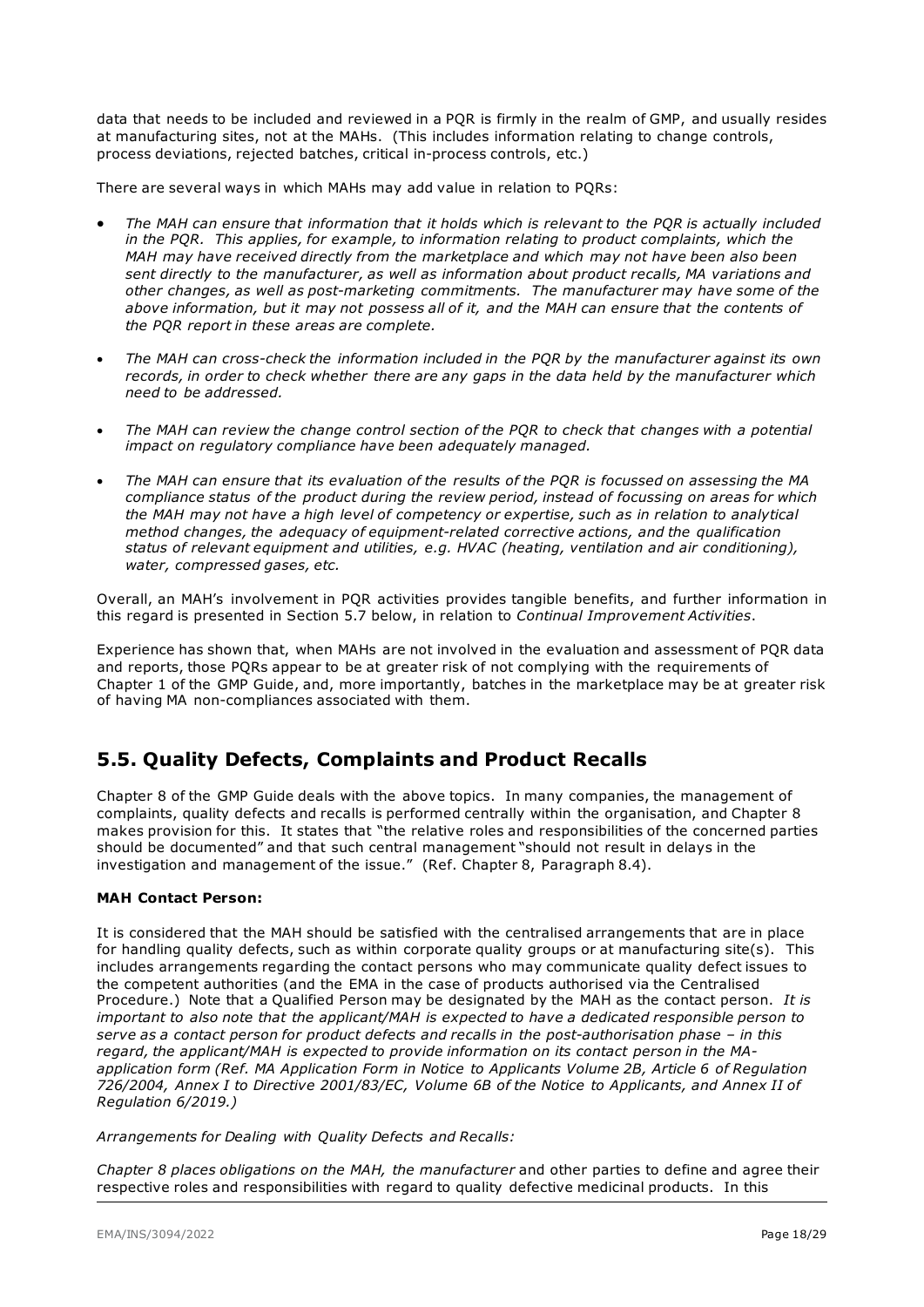data that needs to be included and reviewed in a PQR is firmly in the realm of GMP, and usually resides at manufacturing sites, not at the MAHs. (This includes information relating to change controls, process deviations, rejected batches, critical in-process controls, etc.)

There are several ways in which MAHs may add value in relation to PQRs:

- *The MAH can ensure that information that it holds which is relevant to the PQR is actually included in the POR. This applies, for example, to information relating to product complaints, which the MAH may have received directly from the marketplace and which may not have been also been sent directly to the manufacturer, as well as information about product recalls, MA variations and other changes, as well as post-marketing commitments. The manufacturer may have some of the above information, but it may not possess all of it, and the MAH can ensure that the contents of the PQR report in these areas are complete.*
- *The MAH can cross-check the information included in the PQR by the manufacturer against its own records, in order to check whether there are any gaps in the data held by the manufacturer which need to be addressed.*
- *The MAH can review the change control section of the PQR to check that changes with a potential impact on regulatory compliance have been adequately managed.*
- *The MAH can ensure that its evaluation of the results of the PQR is focussed on assessing the MA compliance status of the product during the review period, instead of focussing on areas for which the MAH may not have a high level of competency or expertise, such as in relation to analytical method changes, the adequacy of equipment-related corrective actions, and the qualification status of relevant equipment and utilities, e.g. HVAC (heating, ventilation and air conditioning), water, compressed gases, etc.*

Overall, an MAH's involvement in PQR activities provides tangible benefits, and further information in this regard is presented in Section 5.7 below, in relation to *Continual Improvement Activities*.

Experience has shown that, when MAHs are not involved in the evaluation and assessment of PQR data and reports, those PQRs appear to be at greater risk of not complying with the requirements of Chapter 1 of the GMP Guide, and, more importantly, batches in the marketplace may be at greater risk of having MA non-compliances associated with them.

### <span id="page-17-0"></span>**5.5. Quality Defects, Complaints and Product Recalls**

Chapter 8 of the GMP Guide deals with the above topics. In many companies, the management of complaints, quality defects and recalls is performed centrally within the organisation, and Chapter 8 makes provision for this. It states that "the relative roles and responsibilities of the concerned parties should be documented" and that such central management "should not result in delays in the investigation and management of the issue." (Ref. Chapter 8, Paragraph 8.4).

#### **MAH Contact Person:**

It is considered that the MAH should be satisfied with the centralised arrangements that are in place for handling quality defects, such as within corporate quality groups or at manufacturing site(s). This includes arrangements regarding the contact persons who may communicate quality defect issues to the competent authorities (and the EMA in the case of products authorised via the Centralised Procedure.) Note that a Qualified Person may be designated by the MAH as the contact person. *It is important to also note that the applicant/MAH is expected to have a dedicated responsible person to serve as a contact person for product defects and recalls in the post-authorisation phase – in this regard, the applicant/MAH is expected to provide information on its contact person in the MAapplication form (Ref. MA Application Form in Notice to Applicants Volume 2B, Article 6 of Regulation 726/2004, Annex I to Directive 2001/83/EC, Volume 6B of the Notice to Applicants, and Annex II of Regulation 6/2019.)* 

*Arrangements for Dealing with Quality Defects and Recalls:*

*Chapter 8 places obligations on the MAH, the manufacturer* and other parties to define and agree their respective roles and responsibilities with regard to quality defective medicinal products. In this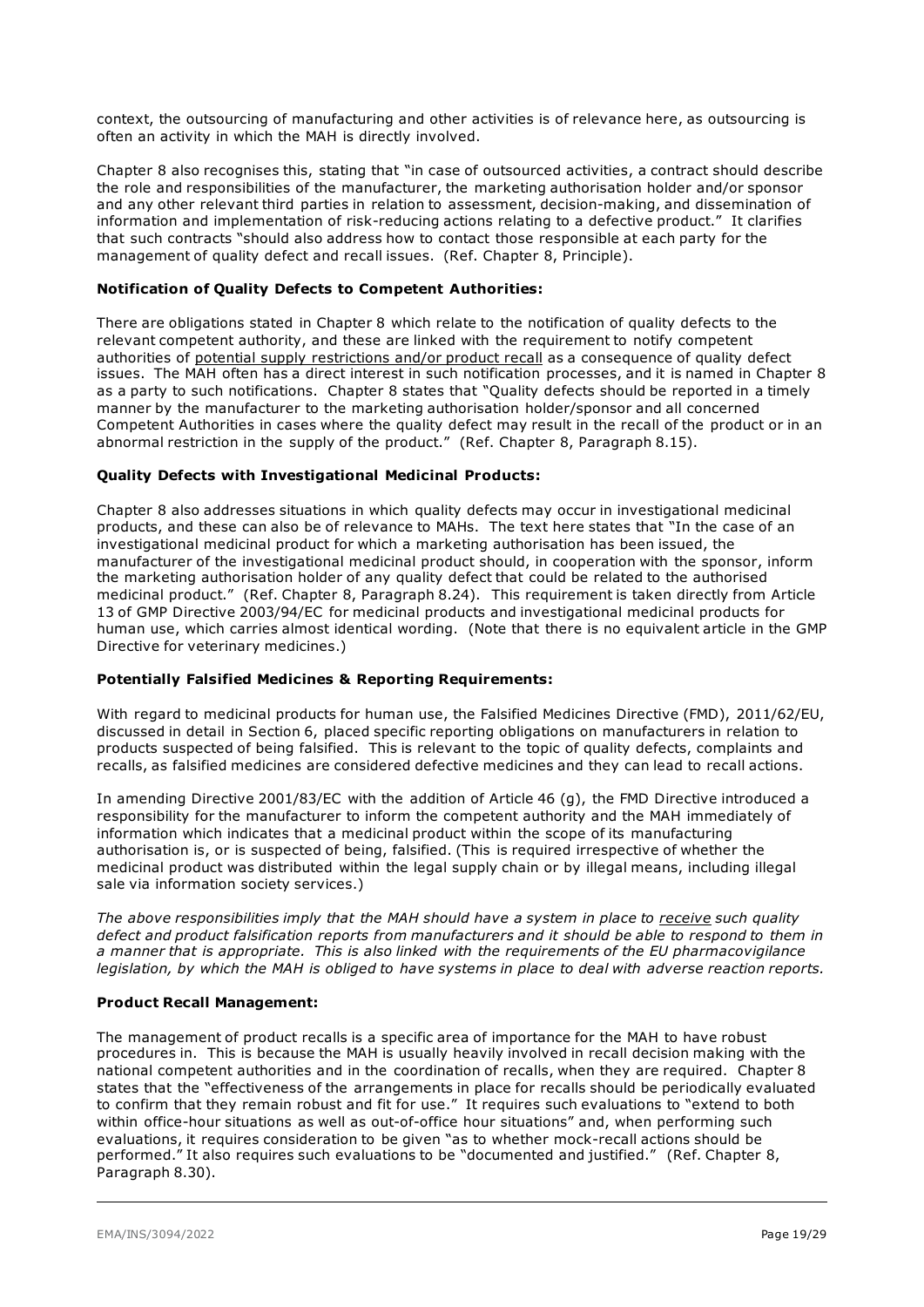context, the outsourcing of manufacturing and other activities is of relevance here, as outsourcing is often an activity in which the MAH is directly involved.

Chapter 8 also recognises this, stating that "in case of outsourced activities, a contract should describe the role and responsibilities of the manufacturer, the marketing authorisation holder and/or sponsor and any other relevant third parties in relation to assessment, decision-making, and dissemination of information and implementation of risk-reducing actions relating to a defective product." It clarifies that such contracts "should also address how to contact those responsible at each party for the management of quality defect and recall issues. (Ref. Chapter 8, Principle).

#### **Notification of Quality Defects to Competent Authorities:**

There are obligations stated in Chapter 8 which relate to the notification of quality defects to the relevant competent authority, and these are linked with the requirement to notify competent authorities of potential supply restrictions and/or product recall as a consequence of quality defect issues. The MAH often has a direct interest in such notification processes, and it is named in Chapter 8 as a party to such notifications. Chapter 8 states that "Quality defects should be reported in a timely manner by the manufacturer to the marketing authorisation holder/sponsor and all concerned Competent Authorities in cases where the quality defect may result in the recall of the product or in an abnormal restriction in the supply of the product." (Ref. Chapter 8, Paragraph 8.15).

#### **Quality Defects with Investigational Medicinal Products:**

Chapter 8 also addresses situations in which quality defects may occur in investigational medicinal products, and these can also be of relevance to MAHs. The text here states that "In the case of an investigational medicinal product for which a marketing authorisation has been issued, the manufacturer of the investigational medicinal product should, in cooperation with the sponsor, inform the marketing authorisation holder of any quality defect that could be related to the authorised medicinal product." (Ref. Chapter 8, Paragraph 8.24). This requirement is taken directly from Article 13 of GMP Directive 2003/94/EC for medicinal products and investigational medicinal products for human use, which carries almost identical wording. (Note that there is no equivalent article in the GMP Directive for veterinary medicines.)

#### **Potentially Falsified Medicines & Reporting Requirements:**

With regard to medicinal products for human use, the Falsified Medicines Directive (FMD), 2011/62/EU, discussed in detail in Section 6, placed specific reporting obligations on manufacturers in relation to products suspected of being falsified. This is relevant to the topic of quality defects, complaints and recalls, as falsified medicines are considered defective medicines and they can lead to recall actions.

In amending Directive 2001/83/EC with the addition of Article 46 (g), the FMD Directive introduced a responsibility for the manufacturer to inform the competent authority and the MAH immediately of information which indicates that a medicinal product within the scope of its manufacturing authorisation is, or is suspected of being, falsified. (This is required irrespective of whether the medicinal product was distributed within the legal supply chain or by illegal means, including illegal sale via information society services.)

*The above responsibilities imply that the MAH should have a system in place to receive such quality defect and product falsification reports from manufacturers and it should be able to respond to them in a manner that is appropriate. This is also linked with the requirements of the EU pharmacovigilance legislation, by which the MAH is obliged to have systems in place to deal with adverse reaction reports.* 

#### **Product Recall Management:**

The management of product recalls is a specific area of importance for the MAH to have robust procedures in. This is because the MAH is usually heavily involved in recall decision making with the national competent authorities and in the coordination of recalls, when they are required. Chapter 8 states that the "effectiveness of the arrangements in place for recalls should be periodically evaluated to confirm that they remain robust and fit for use." It requires such evaluations to "extend to both within office-hour situations as well as out-of-office hour situations" and, when performing such evaluations, it requires consideration to be given "as to whether mock-recall actions should be performed." It also requires such evaluations to be "documented and justified." (Ref. Chapter 8, Paragraph 8.30).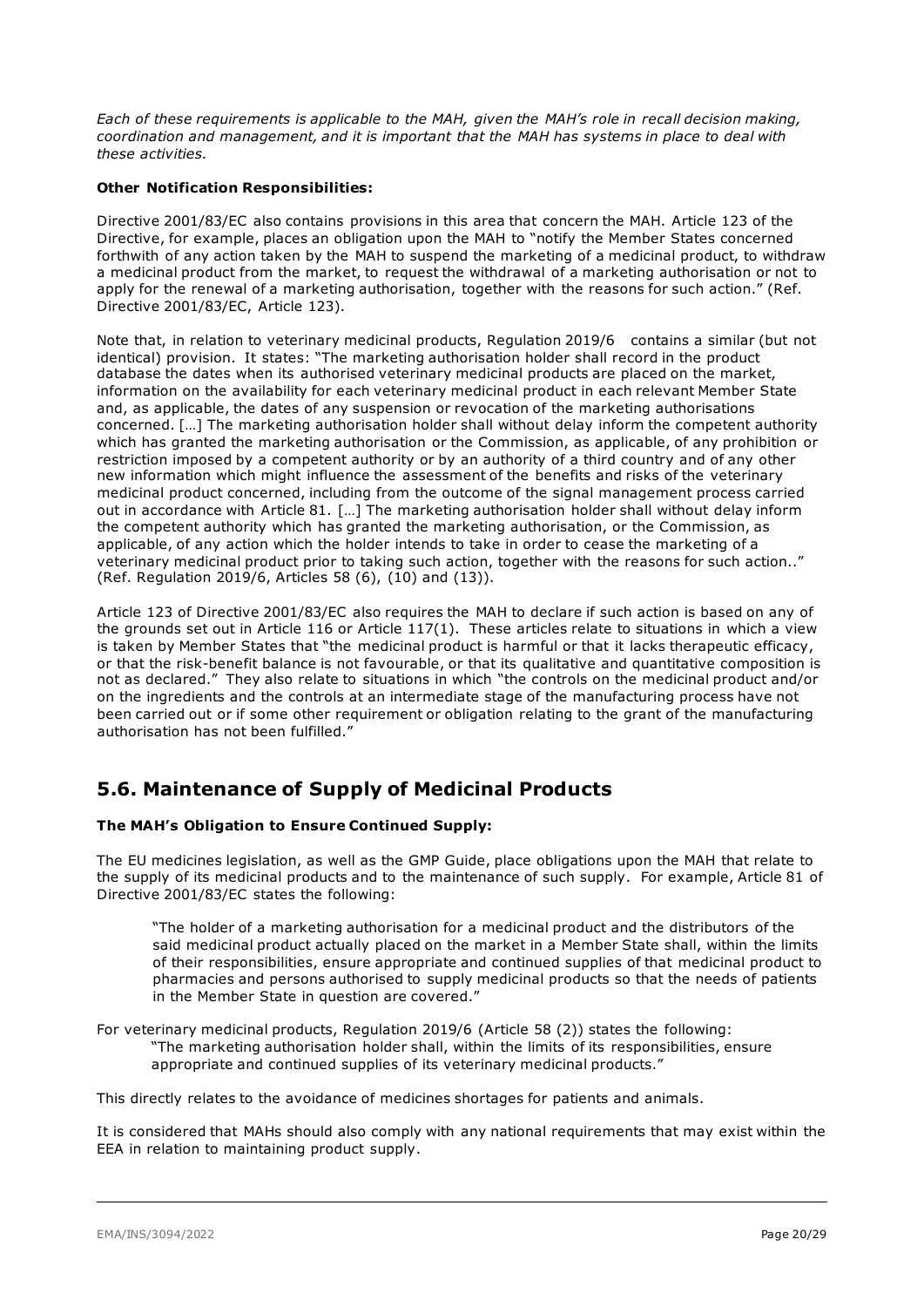*Each of these requirements is applicable to the MAH, given the MAH's role in recall decision making, coordination and management, and it is important that the MAH has systems in place to deal with these activities.* 

#### **Other Notification Responsibilities:**

Directive 2001/83/EC also contains provisions in this area that concern the MAH. Article 123 of the Directive, for example, places an obligation upon the MAH to "notify the Member States concerned forthwith of any action taken by the MAH to suspend the marketing of a medicinal product, to withdraw a medicinal product from the market, to request the withdrawal of a marketing authorisation or not to apply for the renewal of a marketing authorisation, together with the reasons for such action." (Ref. Directive 2001/83/EC, Article 123).

Note that, in relation to veterinary medicinal products, Regulation 2019/6 contains a similar (but not identical) provision. It states: "The marketing authorisation holder shall record in the product database the dates when its authorised veterinary medicinal products are placed on the market, information on the availability for each veterinary medicinal product in each relevant Member State and, as applicable, the dates of any suspension or revocation of the marketing authorisations concerned. […] The marketing authorisation holder shall without delay inform the competent authority which has granted the marketing authorisation or the Commission, as applicable, of any prohibition or restriction imposed by a competent authority or by an authority of a third country and of any other new information which might influence the assessment of the benefits and risks of the veterinary medicinal product concerned, including from the outcome of the signal management process carried out in accordance with Article 81. […] The marketing authorisation holder shall without delay inform the competent authority which has granted the marketing authorisation, or the Commission, as applicable, of any action which the holder intends to take in order to cease the marketing of a veterinary medicinal product prior to taking such action, together with the reasons for such action.." (Ref. Regulation 2019/6, Articles 58 (6), (10) and (13)).

Article 123 of Directive 2001/83/EC also requires the MAH to declare if such action is based on any of the grounds set out in Article 116 or Article 117(1). These articles relate to situations in which a view is taken by Member States that "the medicinal product is harmful or that it lacks therapeutic efficacy, or that the risk-benefit balance is not favourable, or that its qualitative and quantitative composition is not as declared." They also relate to situations in which "the controls on the medicinal product and/or on the ingredients and the controls at an intermediate stage of the manufacturing process have not been carried out or if some other requirement or obligation relating to the grant of the manufacturing authorisation has not been fulfilled."

### <span id="page-19-0"></span>**5.6. Maintenance of Supply of Medicinal Products**

#### **The MAH's Obligation to Ensure Continued Supply:**

The EU medicines legislation, as well as the GMP Guide, place obligations upon the MAH that relate to the supply of its medicinal products and to the maintenance of such supply. For example, Article 81 of Directive 2001/83/EC states the following:

"The holder of a marketing authorisation for a medicinal product and the distributors of the said medicinal product actually placed on the market in a Member State shall, within the limits of their responsibilities, ensure appropriate and continued supplies of that medicinal product to pharmacies and persons authorised to supply medicinal products so that the needs of patients in the Member State in question are covered."

For veterinary medicinal products, Regulation 2019/6 (Article 58 (2)) states the following: "The marketing authorisation holder shall, within the limits of its responsibilities, ensure appropriate and continued supplies of its veterinary medicinal products."

This directly relates to the avoidance of medicines shortages for patients and animals.

It is considered that MAHs should also comply with any national requirements that may exist within the EEA in relation to maintaining product supply.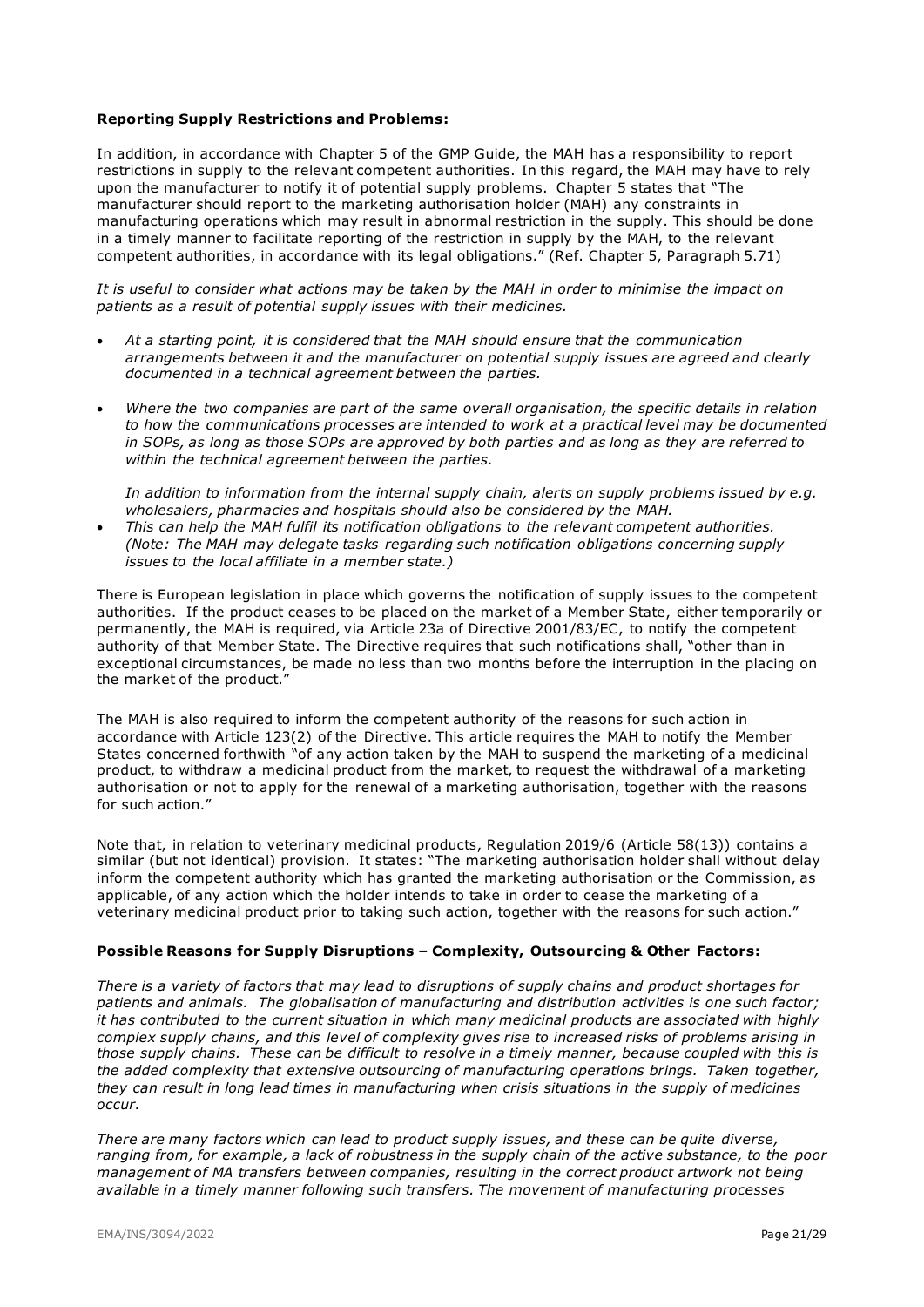#### **Reporting Supply Restrictions and Problems:**

In addition, in accordance with Chapter 5 of the GMP Guide, the MAH has a responsibility to report restrictions in supply to the relevant competent authorities. In this regard, the MAH may have to rely upon the manufacturer to notify it of potential supply problems. Chapter 5 states that "The manufacturer should report to the marketing authorisation holder (MAH) any constraints in manufacturing operations which may result in abnormal restriction in the supply. This should be done in a timely manner to facilitate reporting of the restriction in supply by the MAH, to the relevant competent authorities, in accordance with its legal obligations." (Ref. Chapter 5, Paragraph 5.71)

*It is useful to consider what actions may be taken by the MAH in order to minimise the impact on patients as a result of potential supply issues with their medicines.* 

- *At a starting point, it is considered that the MAH should ensure that the communication arrangements between it and the manufacturer on potential supply issues are agreed and clearly documented in a technical agreement between the parties.*
- *Where the two companies are part of the same overall organisation, the specific details in relation to how the communications processes are intended to work at a practical level may be documented in SOPs, as long as those SOPs are approved by both parties and as long as they are referred to within the technical agreement between the parties.*

*In addition to information from the internal supply chain, alerts on supply problems issued by e.g. wholesalers, pharmacies and hospitals should also be considered by the MAH.*

• *This can help the MAH fulfil its notification obligations to the relevant competent authorities. (Note: The MAH may delegate tasks regarding such notification obligations concerning supply issues to the local affiliate in a member state.)*

There is European legislation in place which governs the notification of supply issues to the competent authorities. If the product ceases to be placed on the market of a Member State, either temporarily or permanently, the MAH is required, via Article 23a of Directive 2001/83/EC, to notify the competent authority of that Member State. The Directive requires that such notifications shall, "other than in exceptional circumstances, be made no less than two months before the interruption in the placing on the market of the product.'

The MAH is also required to inform the competent authority of the reasons for such action in accordance with Article 123(2) of the Directive. This article requires the MAH to notify the Member States concerned forthwith "of any action taken by the MAH to suspend the marketing of a medicinal product, to withdraw a medicinal product from the market, to request the withdrawal of a marketing authorisation or not to apply for the renewal of a marketing authorisation, together with the reasons for such action."

Note that, in relation to veterinary medicinal products, Regulation 2019/6 (Article 58(13)) contains a similar (but not identical) provision. It states: "The marketing authorisation holder shall without delay inform the competent authority which has granted the marketing authorisation or the Commission, as applicable, of any action which the holder intends to take in order to cease the marketing of a veterinary medicinal product prior to taking such action, together with the reasons for such action."

#### **Possible Reasons for Supply Disruptions – Complexity, Outsourcing & Other Factors:**

*There is a variety of factors that may lead to disruptions of supply chains and product shortages for patients and animals. The globalisation of manufacturing and distribution activities is one such factor; it has contributed to the current situation in which many medicinal products are associated with highly complex supply chains, and this level of complexity gives rise to increased risks of problems arising in those supply chains. These can be difficult to resolve in a timely manner, because coupled with this is the added complexity that extensive outsourcing of manufacturing operations brings. Taken together, they can result in long lead times in manufacturing when crisis situations in the supply of medicines occur.* 

*There are many factors which can lead to product supply issues, and these can be quite diverse, ranging from, for example, a lack of robustness in the supply chain of the active substance, to the poor management of MA transfers between companies, resulting in the correct product artwork not being available in a timely manner following such transfers. The movement of manufacturing processes*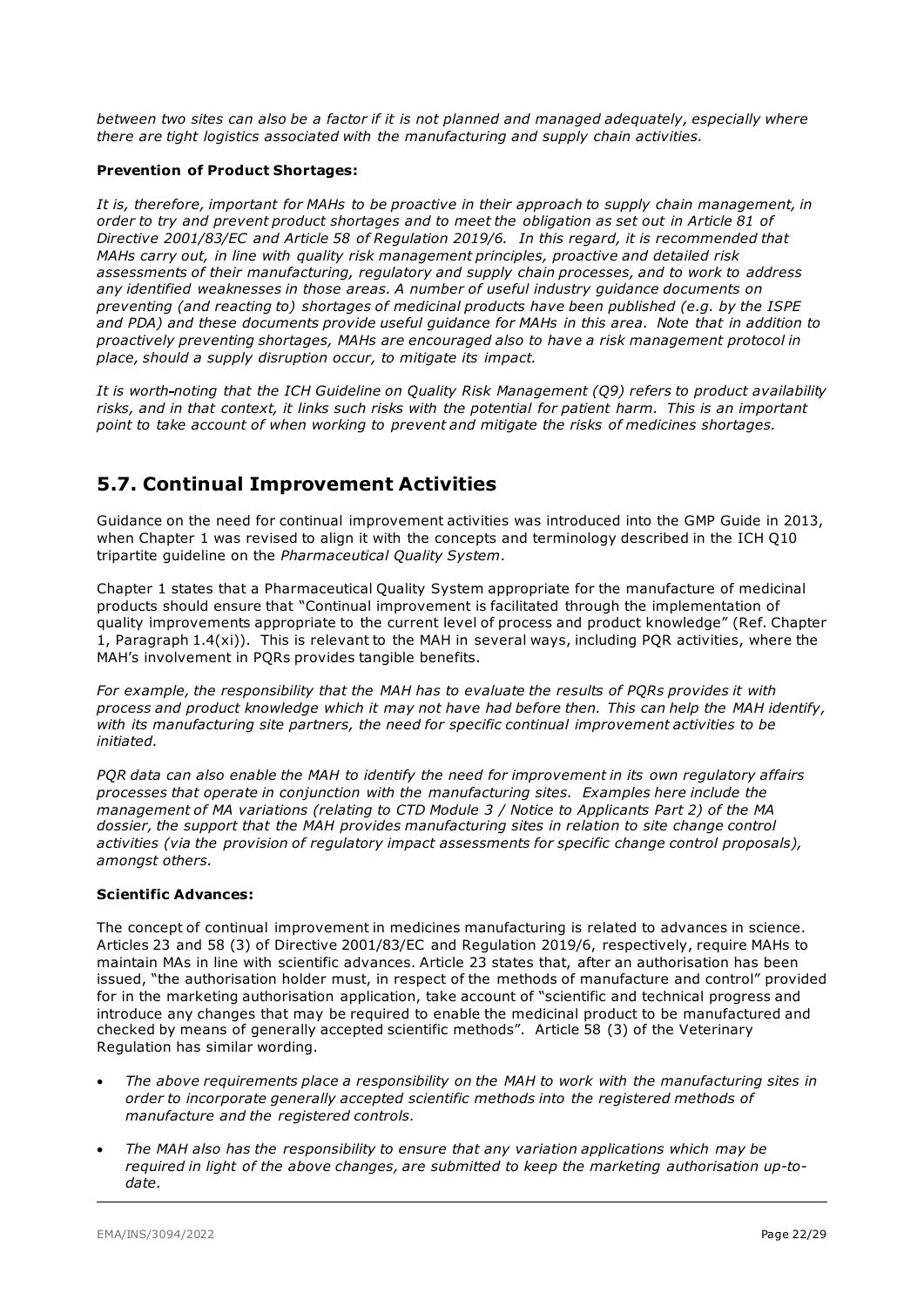*between two sites can also be a factor if it is not planned and managed adequately, especially where there are tight logistics associated with the manufacturing and supply chain activities.* 

#### **Prevention of Product Shortages:**

*It is, therefore, important for MAHs to be proactive in their approach to supply chain management, in order to try and prevent product shortages and to meet the obligation as set out in Article 81 of Directive 2001/83/EC and Article 58 of Regulation 2019/6. In this regard, it is recommended that MAHs carry out, in line with quality risk management principles, proactive and detailed risk assessments of their manufacturing, regulatory and supply chain processes, and to work to address any identified weaknesses in those areas. A number of useful industry guidance documents on preventing (and reacting to) shortages of medicinal products have been published (e.g. by the ISPE and PDA) and these documents provide useful guidance for MAHs in this area. Note that in addition to proactively preventing shortages, MAHs are encouraged also to have a risk management protocol in place, should a supply disruption occur, to mitigate its impact.* 

*It is worth noting that the ICH Guideline on Quality Risk Management (Q9) refers to product availability risks, and in that context, it links such risks with the potential for patient harm. This is an important point to take account of when working to prevent and mitigate the risks of medicines shortages.*

### <span id="page-21-0"></span>**5.7. Continual Improvement Activities**

Guidance on the need for continual improvement activities was introduced into the GMP Guide in 2013, when Chapter 1 was revised to align it with the concepts and terminology described in the ICH Q10 tripartite guideline on the *Pharmaceutical Quality System*.

Chapter 1 states that a Pharmaceutical Quality System appropriate for the manufacture of medicinal products should ensure that "Continual improvement is facilitated through the implementation of quality improvements appropriate to the current level of process and product knowledge" (Ref. Chapter 1, Paragraph 1.4(xi)). This is relevant to the MAH in several ways, including PQR activities, where the MAH's involvement in PQRs provides tangible benefits.

*For example, the responsibility that the MAH has to evaluate the results of PQRs provides it with process and product knowledge which it may not have had before then. This can help the MAH identify, with its manufacturing site partners, the need for specific continual improvement activities to be initiated.* 

*PQR data can also enable the MAH to identify the need for improvement in its own regulatory affairs processes that operate in conjunction with the manufacturing sites. Examples here include the management of MA variations (relating to CTD Module 3 / Notice to Applicants Part 2) of the MA dossier, the support that the MAH provides manufacturing sites in relation to site change control activities (via the provision of regulatory impact assessments for specific change control proposals), amongst others.*

#### **Scientific Advances:**

The concept of continual improvement in medicines manufacturing is related to advances in science. Articles 23 and 58 (3) of Directive 2001/83/EC and Regulation 2019/6, respectively, require MAHs to maintain MAs in line with scientific advances. Article 23 states that, after an authorisation has been issued, "the authorisation holder must, in respect of the methods of manufacture and control" provided for in the marketing authorisation application, take account of "scientific and technical progress and introduce any changes that may be required to enable the medicinal product to be manufactured and checked by means of generally accepted scientific methods". Article 58 (3) of the Veterinary Regulation has similar wording.

- *The above requirements place a responsibility on the MAH to work with the manufacturing sites in order to incorporate generally accepted scientific methods into the registered methods of manufacture and the registered controls.*
- *The MAH also has the responsibility to ensure that any variation applications which may be required in light of the above changes, are submitted to keep the marketing authorisation up-todate.*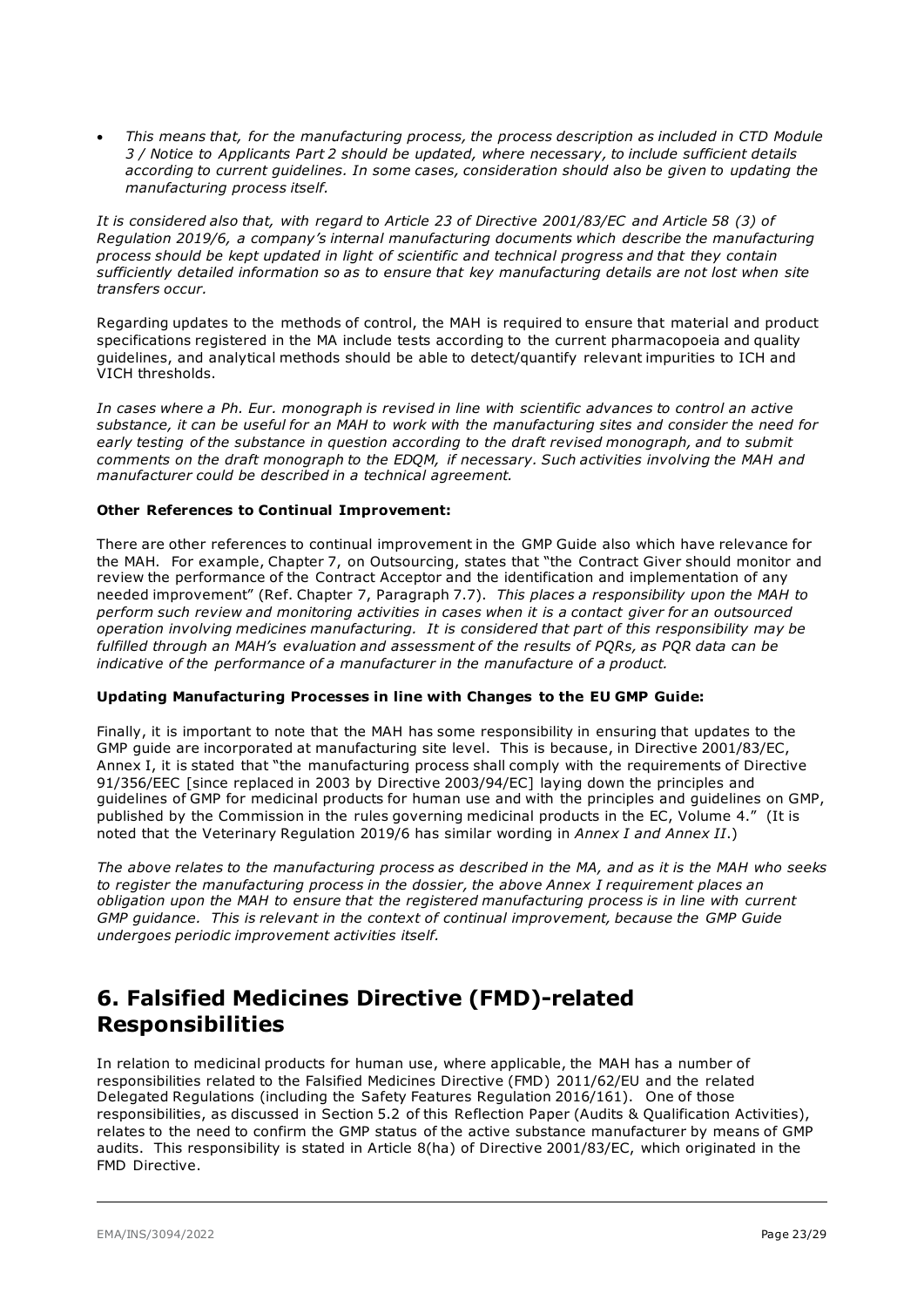• *This means that, for the manufacturing process, the process description as included in CTD Module 3 / Notice to Applicants Part 2 should be updated, where necessary, to include sufficient details according to current guidelines. In some cases, consideration should also be given to updating the manufacturing process itself.*

*It is considered also that, with regard to Article 23 of Directive 2001/83/EC and Article 58 (3) of Regulation 2019/6, a company's internal manufacturing documents which describe the manufacturing process should be kept updated in light of scientific and technical progress and that they contain sufficiently detailed information so as to ensure that key manufacturing details are not lost when site transfers occur.* 

Regarding updates to the methods of control, the MAH is required to ensure that material and product specifications registered in the MA include tests according to the current pharmacopoeia and quality guidelines, and analytical methods should be able to detect/quantify relevant impurities to ICH and VICH thresholds.

*In cases where a Ph. Eur. monograph is revised in line with scientific advances to control an active substance, it can be useful for an MAH to work with the manufacturing sites and consider the need for early testing of the substance in question according to the draft revised monograph, and to submit comments on the draft monograph to the EDQM, if necessary. Such activities involving the MAH and manufacturer could be described in a technical agreement.*

#### **Other References to Continual Improvement:**

There are other references to continual improvement in the GMP Guide also which have relevance for the MAH. For example, Chapter 7, on Outsourcing, states that "the Contract Giver should monitor and review the performance of the Contract Acceptor and the identification and implementation of any needed improvement" (Ref. Chapter 7, Paragraph 7.7). *This places a responsibility upon the MAH to perform such review and monitoring activities in cases when it is a contact giver for an outsourced operation involving medicines manufacturing. It is considered that part of this responsibility may be fulfilled through an MAH's evaluation and assessment of the results of PQRs, as PQR data can be indicative of the performance of a manufacturer in the manufacture of a product.*

#### **Updating Manufacturing Processes in line with Changes to the EU GMP Guide:**

Finally, it is important to note that the MAH has some responsibility in ensuring that updates to the GMP guide are incorporated at manufacturing site level. This is because, in Directive 2001/83/EC, Annex I, it is stated that "the manufacturing process shall comply with the requirements of Directive 91/356/EEC [since replaced in 2003 by Directive 2003/94/EC] laying down the principles and guidelines of GMP for medicinal products for human use and with the principles and guidelines on GMP, published by the Commission in the rules governing medicinal products in the EC, Volume 4." (It is noted that the Veterinary Regulation 2019/6 has similar wording in *Annex I and Annex II*.)

*The above relates to the manufacturing process as described in the MA, and as it is the MAH who seeks to register the manufacturing process in the dossier, the above Annex I requirement places an obligation upon the MAH to ensure that the registered manufacturing process is in line with current GMP guidance. This is relevant in the context of continual improvement, because the GMP Guide undergoes periodic improvement activities itself.* 

## <span id="page-22-0"></span>**6. Falsified Medicines Directive (FMD)-related Responsibilities**

In relation to medicinal products for human use, where applicable, the MAH has a number of responsibilities related to the Falsified Medicines Directive (FMD) 2011/62/EU and the related Delegated Regulations (including the Safety Features Regulation 2016/161). One of those responsibilities, as discussed in Section 5.2 of this Reflection Paper (Audits & Qualification Activities), relates to the need to confirm the GMP status of the active substance manufacturer by means of GMP audits. This responsibility is stated in Article 8(ha) of Directive 2001/83/EC, which originated in the FMD Directive.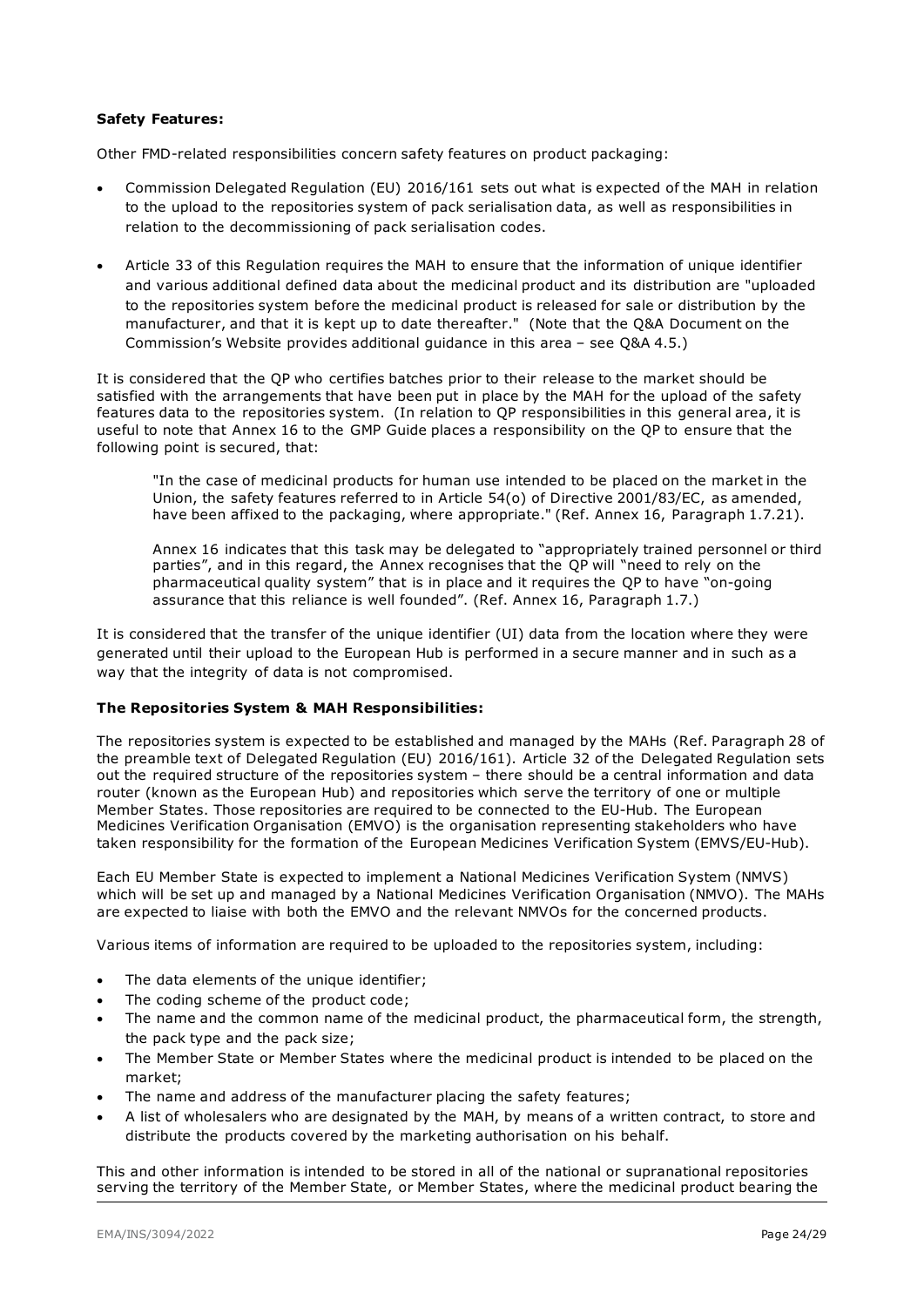#### **Safety Features:**

Other FMD-related responsibilities concern safety features on product packaging:

- Commission Delegated Regulation (EU) 2016/161 sets out what is expected of the MAH in relation to the upload to the repositories system of pack serialisation data, as well as responsibilities in relation to the decommissioning of pack serialisation codes.
- Article 33 of this Regulation requires the MAH to ensure that the information of unique identifier and various additional defined data about the medicinal product and its distribution are "uploaded to the repositories system before the medicinal product is released for sale or distribution by the manufacturer, and that it is kept up to date thereafter." (Note that the Q&A Document on the Commission's Website provides additional guidance in this area – see Q&A 4.5.)

It is considered that the QP who certifies batches prior to their release to the market should be satisfied with the arrangements that have been put in place by the MAH for the upload of the safety features data to the repositories system. (In relation to QP responsibilities in this general area, it is useful to note that Annex 16 to the GMP Guide places a responsibility on the QP to ensure that the following point is secured, that:

"In the case of medicinal products for human use intended to be placed on the market in the Union, the safety features referred to in Article 54(o) of Directive 2001/83/EC, as amended, have been affixed to the packaging, where appropriate." (Ref. Annex 16, Paragraph 1.7.21).

Annex 16 indicates that this task may be delegated to "appropriately trained personnel or third parties", and in this regard, the Annex recognises that the QP will "need to rely on the pharmaceutical quality system" that is in place and it requires the QP to have "on-going assurance that this reliance is well founded". (Ref. Annex 16, Paragraph 1.7.)

It is considered that the transfer of the unique identifier (UI) data from the location where they were generated until their upload to the European Hub is performed in a secure manner and in such as a way that the integrity of data is not compromised.

#### **The Repositories System & MAH Responsibilities:**

The repositories system is expected to be established and managed by the MAHs (Ref. Paragraph 28 of the preamble text of Delegated Regulation (EU) 2016/161). Article 32 of the Delegated Regulation sets out the required structure of the repositories system – there should be a central information and data router (known as the European Hub) and repositories which serve the territory of one or multiple Member States. Those repositories are required to be connected to the EU-Hub. The European Medicines Verification Organisation (EMVO) is the organisation representing stakeholders who have taken responsibility for the formation of the European Medicines Verification System (EMVS/EU-Hub).

Each EU Member State is expected to implement a National Medicines Verification System (NMVS) which will be set up and managed by a National Medicines Verification Organisation (NMVO). The MAHs are expected to liaise with both the EMVO and the relevant NMVOs for the concerned products.

Various items of information are required to be uploaded to the repositories system, including:

- The data elements of the unique identifier;
- The coding scheme of the product code;
- The name and the common name of the medicinal product, the pharmaceutical form, the strength, the pack type and the pack size;
- The Member State or Member States where the medicinal product is intended to be placed on the market;
- The name and address of the manufacturer placing the safety features;
- A list of wholesalers who are designated by the MAH, by means of a written contract, to store and distribute the products covered by the marketing authorisation on his behalf.

This and other information is intended to be stored in all of the national or supranational repositories serving the territory of the Member State, or Member States, where the medicinal product bearing the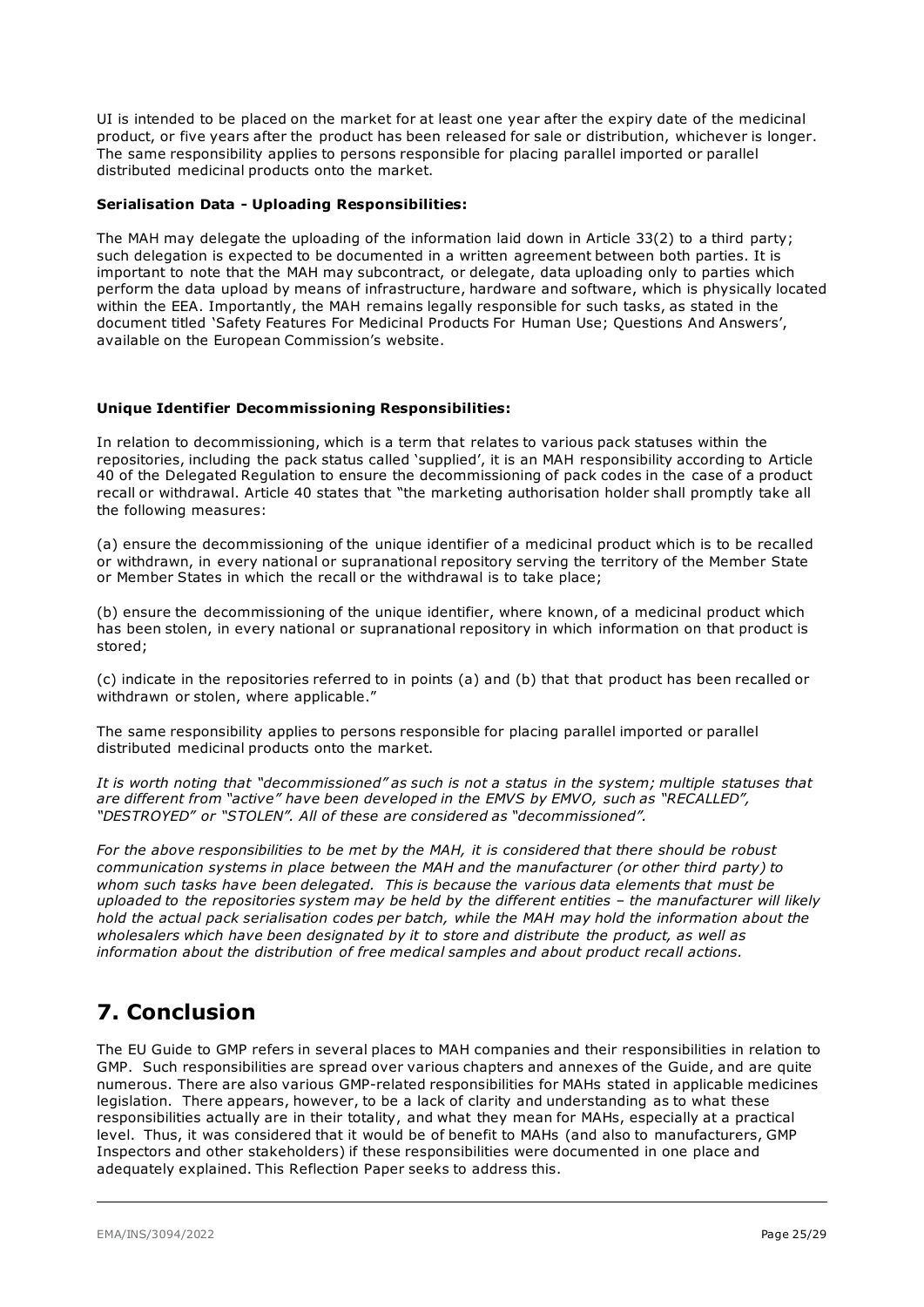UI is intended to be placed on the market for at least one year after the expiry date of the medicinal product, or five years after the product has been released for sale or distribution, whichever is longer. The same responsibility applies to persons responsible for placing parallel imported or parallel distributed medicinal products onto the market.

#### **Serialisation Data - Uploading Responsibilities:**

The MAH may delegate the uploading of the information laid down in Article 33(2) to a third party; such delegation is expected to be documented in a written agreement between both parties. It is important to note that the MAH may subcontract, or delegate, data uploading only to parties which perform the data upload by means of infrastructure, hardware and software, which is physically located within the EEA. Importantly, the MAH remains legally responsible for such tasks, as stated in the document titled 'Safety Features For Medicinal Products For Human Use; Questions And Answers', available on the European Commission's website.

#### **Unique Identifier Decommissioning Responsibilities:**

In relation to decommissioning, which is a term that relates to various pack statuses within the repositories, including the pack status called 'supplied', it is an MAH responsibility according to Article 40 of the Delegated Regulation to ensure the decommissioning of pack codes in the case of a product recall or withdrawal. Article 40 states that "the marketing authorisation holder shall promptly take all the following measures:

(a) ensure the decommissioning of the unique identifier of a medicinal product which is to be recalled or withdrawn, in every national or supranational repository serving the territory of the Member State or Member States in which the recall or the withdrawal is to take place;

(b) ensure the decommissioning of the unique identifier, where known, of a medicinal product which has been stolen, in every national or supranational repository in which information on that product is stored;

(c) indicate in the repositories referred to in points (a) and (b) that that product has been recalled or withdrawn or stolen, where applicable."

The same responsibility applies to persons responsible for placing parallel imported or parallel distributed medicinal products onto the market.

*It is worth noting that "decommissioned" as such is not a status in the system; multiple statuses that are different from "active" have been developed in the EMVS by EMVO, such as "RECALLED", "DESTROYED" or "STOLEN". All of these are considered as "decommissioned".* 

*For the above responsibilities to be met by the MAH, it is considered that there should be robust communication systems in place between the MAH and the manufacturer (or other third party) to whom such tasks have been delegated. This is because the various data elements that must be uploaded to the repositories system may be held by the different entities – the manufacturer will likely hold the actual pack serialisation codes per batch, while the MAH may hold the information about the wholesalers which have been designated by it to store and distribute the product, as well as information about the distribution of free medical samples and about product recall actions.* 

## <span id="page-24-0"></span>**7. Conclusion**

The EU Guide to GMP refers in several places to MAH companies and their responsibilities in relation to GMP. Such responsibilities are spread over various chapters and annexes of the Guide, and are quite numerous. There are also various GMP-related responsibilities for MAHs stated in applicable medicines legislation. There appears, however, to be a lack of clarity and understanding as to what these responsibilities actually are in their totality, and what they mean for MAHs, especially at a practical level. Thus, it was considered that it would be of benefit to MAHs (and also to manufacturers, GMP Inspectors and other stakeholders) if these responsibilities were documented in one place and adequately explained. This Reflection Paper seeks to address this.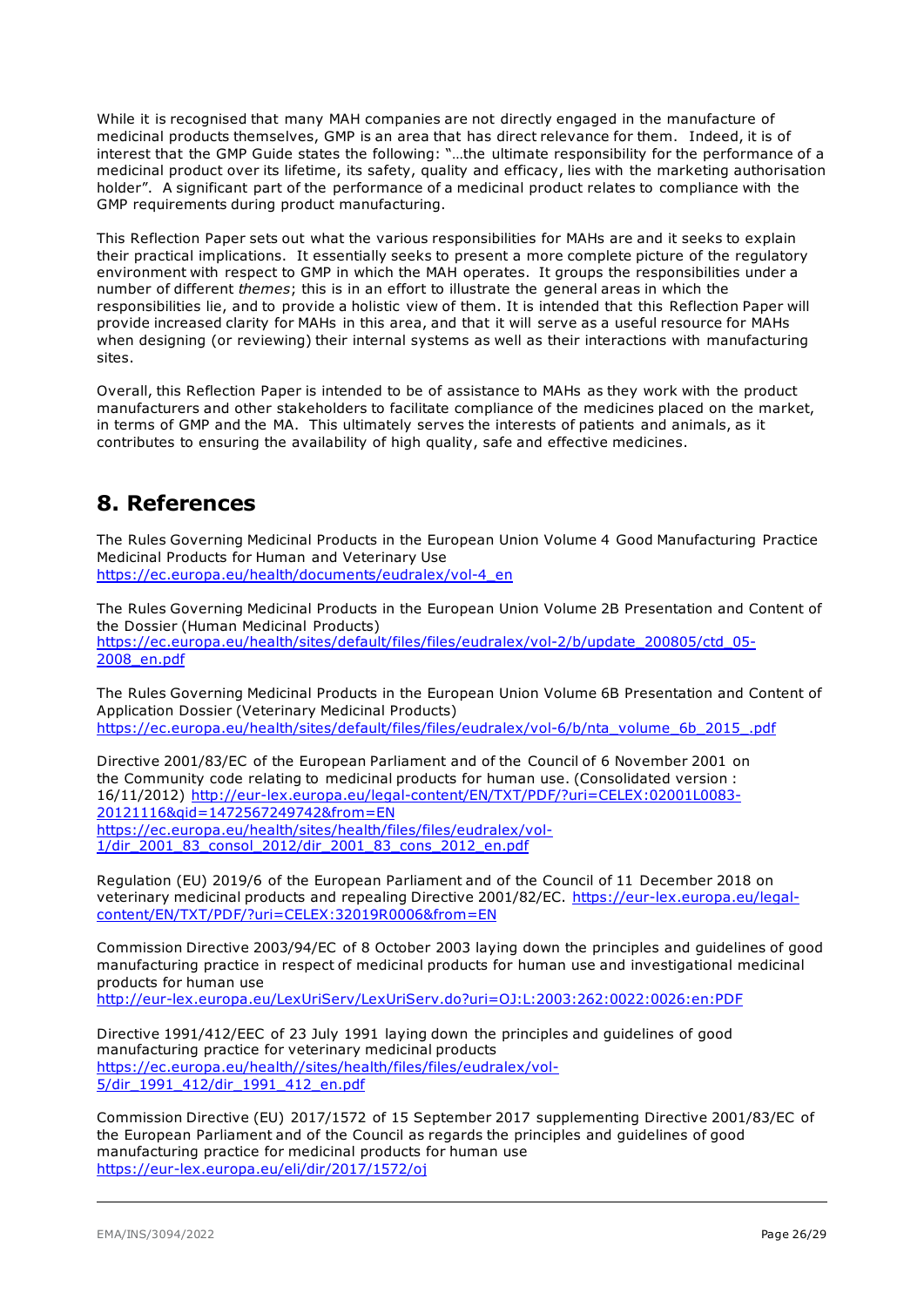While it is recognised that many MAH companies are not directly engaged in the manufacture of medicinal products themselves, GMP is an area that has direct relevance for them. Indeed, it is of interest that the GMP Guide states the following: "…the ultimate responsibility for the performance of a medicinal product over its lifetime, its safety, quality and efficacy, lies with the marketing authorisation holder". A significant part of the performance of a medicinal product relates to compliance with the GMP requirements during product manufacturing.

This Reflection Paper sets out what the various responsibilities for MAHs are and it seeks to explain their practical implications. It essentially seeks to present a more complete picture of the regulatory environment with respect to GMP in which the MAH operates. It groups the responsibilities under a number of different *themes*; this is in an effort to illustrate the general areas in which the responsibilities lie, and to provide a holistic view of them. It is intended that this Reflection Paper will provide increased clarity for MAHs in this area, and that it will serve as a useful resource for MAHs when designing (or reviewing) their internal systems as well as their interactions with manufacturing sites.

Overall, this Reflection Paper is intended to be of assistance to MAHs as they work with the product manufacturers and other stakeholders to facilitate compliance of the medicines placed on the market, in terms of GMP and the MA. This ultimately serves the interests of patients and animals, as it contributes to ensuring the availability of high quality, safe and effective medicines.

## <span id="page-25-0"></span>**8. References**

The Rules Governing Medicinal Products in the European Union Volume 4 Good Manufacturing Practice Medicinal Products for Human and Veterinary Use [https://ec.europa.eu/health/documents/eudralex/vol-4\\_en](https://ec.europa.eu/health/documents/eudralex/vol-4_en)

The Rules Governing Medicinal Products in the European Union Volume 2B Presentation and Content of the Dossier (Human Medicinal Products) [https://ec.europa.eu/health/sites/default/files/files/eudralex/vol-2/b/update\\_200805/ctd\\_05-](https://ec.europa.eu/health/sites/default/files/files/eudralex/vol-2/b/update_200805/ctd_05-2008_en.pdf) [2008\\_en.pdf](https://ec.europa.eu/health/sites/default/files/files/eudralex/vol-2/b/update_200805/ctd_05-2008_en.pdf)

The Rules Governing Medicinal Products in the European Union Volume 6B Presentation and Content of Application Dossier (Veterinary Medicinal Products) [https://ec.europa.eu/health/sites/default/files/files/eudralex/vol-6/b/nta\\_volume\\_6b\\_2015\\_.pdf](https://ec.europa.eu/health/sites/default/files/files/eudralex/vol-6/b/nta_volume_6b_2015_.pdf)

Directive 2001/83/EC of the European Parliament and of the Council of 6 November 2001 on the Community code relating to medicinal products for human use. (Consolidated version : 16/11/2012) [http://eur-lex.europa.eu/legal-content/EN/TXT/PDF/?uri=CELEX:02001L0083-](http://eur-lex.europa.eu/legal-content/EN/TXT/PDF/?uri=CELEX:02001L0083-20121116&qid=1472567249742&from=EN) [20121116&qid=1472567249742&from=EN](http://eur-lex.europa.eu/legal-content/EN/TXT/PDF/?uri=CELEX:02001L0083-20121116&qid=1472567249742&from=EN) [https://ec.europa.eu/health/sites/health/files/files/eudralex/vol-](https://ec.europa.eu/health/sites/health/files/files/eudralex/vol-1/dir_2001_83_consol_2012/dir_2001_83_cons_2012_en.pdf)[1/dir\\_2001\\_83\\_consol\\_2012/dir\\_2001\\_83\\_cons\\_2012\\_en.pdf](https://ec.europa.eu/health/sites/health/files/files/eudralex/vol-1/dir_2001_83_consol_2012/dir_2001_83_cons_2012_en.pdf)

Regulation (EU) 2019/6 of the European Parliament and of the Council of 11 December 2018 on veterinary medicinal products and repealing Directive 2001/82/EC. [https://eur-lex.europa.eu/legal](https://eur-lex.europa.eu/legal-content/EN/TXT/PDF/?uri=CELEX:32019R0006&from=EN)[content/EN/TXT/PDF/?uri=CELEX:32019R0006&from=EN](https://eur-lex.europa.eu/legal-content/EN/TXT/PDF/?uri=CELEX:32019R0006&from=EN)

Commission Directive 2003/94/EC of 8 October 2003 laying down the principles and guidelines of good manufacturing practice in respect of medicinal products for human use and investigational medicinal products for human use <http://eur-lex.europa.eu/LexUriServ/LexUriServ.do?uri=OJ:L:2003:262:0022:0026:en:PDF>

Directive 1991/412/EEC of 23 July 1991 laying down the principles and guidelines of good manufacturing practice for veterinary medicinal products [https://ec.europa.eu/health//sites/health/files/files/eudralex/vol-](https://ec.europa.eu/health/sites/health/files/files/eudralex/vol-5/dir_1991_412/dir_1991_412_en.pdf)[5/dir\\_1991\\_412/dir\\_1991\\_412\\_en.pdf](https://ec.europa.eu/health/sites/health/files/files/eudralex/vol-5/dir_1991_412/dir_1991_412_en.pdf)

Commission Directive (EU) 2017/1572 of 15 September 2017 supplementing Directive 2001/83/EC of the European Parliament and of the Council as regards the principles and guidelines of good manufacturing practice for medicinal products for human use <https://eur-lex.europa.eu/eli/dir/2017/1572/oj>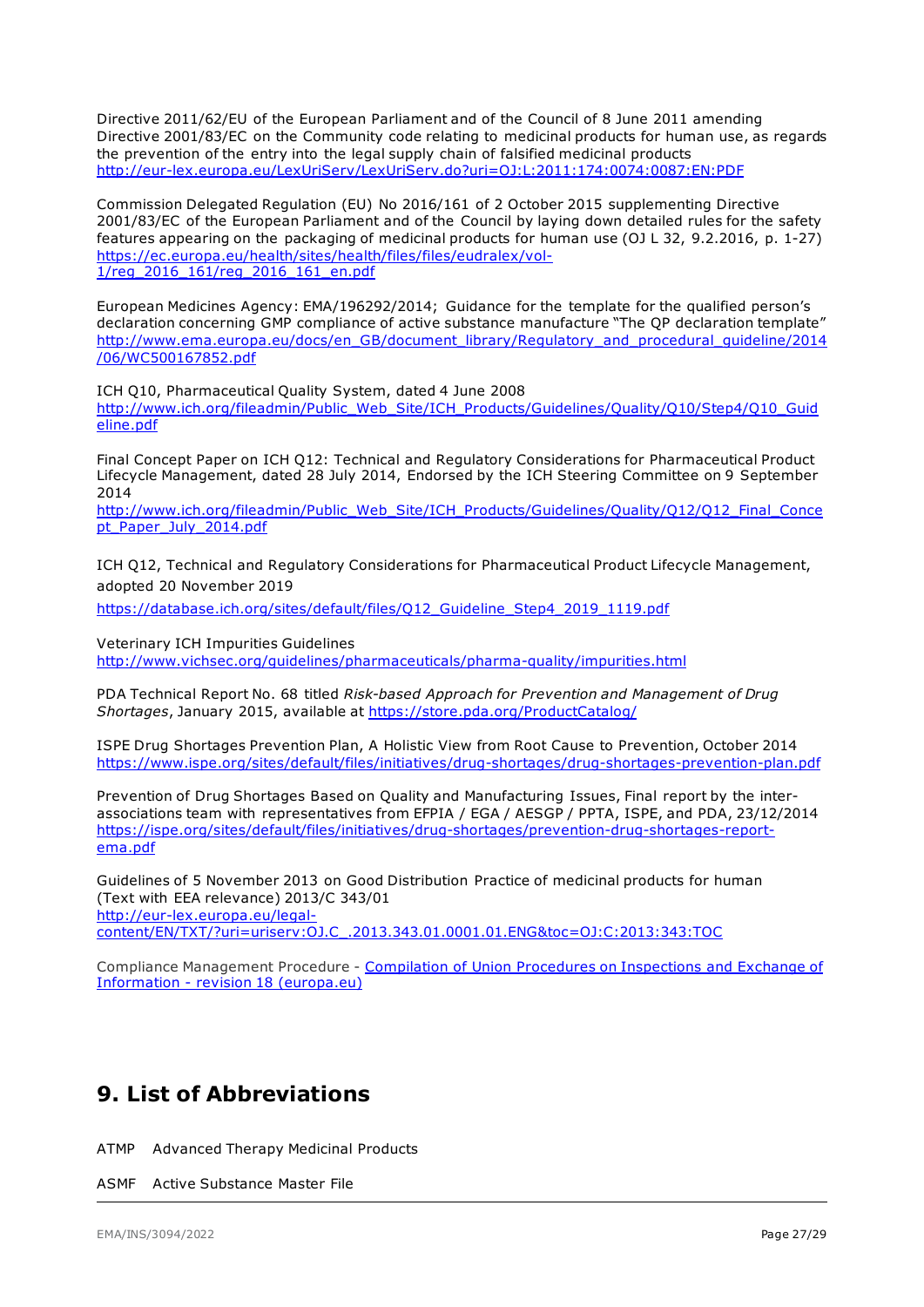Directive 2011/62/EU of the European Parliament and of the Council of 8 June 2011 amending Directive 2001/83/EC on the Community code relating to medicinal products for human use, as regards the prevention of the entry into the legal supply chain of falsified medicinal products <http://eur-lex.europa.eu/LexUriServ/LexUriServ.do?uri=OJ:L:2011:174:0074:0087:EN:PDF>

Commission Delegated Regulation (EU) No 2016/161 of 2 October 2015 supplementing Directive 2001/83/EC of the European Parliament and of the Council by laying down detailed rules for the safety features appearing on the packaging of medicinal products for human use (OJ L 32, 9.2.2016, p. 1-27) [https://ec.europa.eu/health/sites/health/files/files/eudralex/vol-](https://ec.europa.eu/health/sites/health/files/files/eudralex/vol-1/reg_2016_161/reg_2016_161_en.pdf)<u>[1/reg\\_2016\\_161/reg\\_2016\\_161\\_en.pdf](https://ec.europa.eu/health/sites/health/files/files/eudralex/vol-1/reg_2016_161/reg_2016_161_en.pdf)</u>

European Medicines Agency: EMA/196292/2014; Guidance for the template for the qualified person's declaration concerning GMP compliance of active substance manufacture "The QP declaration template" [http://www.ema.europa.eu/docs/en\\_GB/document\\_library/Regulatory\\_and\\_procedural\\_guideline/2014](http://www.ema.europa.eu/docs/en_GB/document_library/Regulatory_and_procedural_guideline/2014/06/WC500167852.pdf) [/06/WC500167852.pdf](http://www.ema.europa.eu/docs/en_GB/document_library/Regulatory_and_procedural_guideline/2014/06/WC500167852.pdf)

ICH Q10, Pharmaceutical Quality System, dated 4 June 2008 [http://www.ich.org/fileadmin/Public\\_Web\\_Site/ICH\\_Products/Guidelines/Quality/Q10/Step4/Q10\\_Guid](http://www.ich.org/fileadmin/Public_Web_Site/ICH_Products/Guidelines/Quality/Q10/Step4/Q10_Guideline.pdf) [eline.pdf](http://www.ich.org/fileadmin/Public_Web_Site/ICH_Products/Guidelines/Quality/Q10/Step4/Q10_Guideline.pdf)

Final Concept Paper on ICH Q12: Technical and Regulatory Considerations for Pharmaceutical Product Lifecycle Management, dated 28 July 2014, Endorsed by the ICH Steering Committee on 9 September 2014

[http://www.ich.org/fileadmin/Public\\_Web\\_Site/ICH\\_Products/Guidelines/Quality/Q12/Q12\\_Final\\_Conce](http://www.ich.org/fileadmin/Public_Web_Site/ICH_Products/Guidelines/Quality/Q12/Q12_Final_Concept_Paper_July_2014.pdf) pt Paper July 2014.pdf

ICH Q12, Technical and Regulatory Considerations for Pharmaceutical Product Lifecycle Management, adopted 20 November 2019

[https://database.ich.org/sites/default/files/Q12\\_Guideline\\_Step4\\_2019\\_1119.pdf](https://database.ich.org/sites/default/files/Q12_Guideline_Step4_2019_1119.pdf)

Veterinary ICH Impurities Guidelines

<http://www.vichsec.org/guidelines/pharmaceuticals/pharma-quality/impurities.html>

PDA Technical Report No. 68 titled *Risk-based Approach for Prevention and Management of Drug Shortages*, January 2015, available at<https://store.pda.org/ProductCatalog/>

ISPE Drug Shortages Prevention Plan, A Holistic View from Root Cause to Prevention, October 2014 <https://www.ispe.org/sites/default/files/initiatives/drug-shortages/drug-shortages-prevention-plan.pdf>

Prevention of Drug Shortages Based on Quality and Manufacturing Issues, Final report by the interassociations team with representatives from EFPIA / EGA / AESGP / PPTA, ISPE, and PDA, 23/12/2014 [https://ispe.org/sites/default/files/initiatives/drug-shortages/prevention-drug-shortages-report](https://ispe.org/sites/default/files/initiatives/drug-shortages/prevention-drug-shortages-report-ema.pdf)[ema.pdf](https://ispe.org/sites/default/files/initiatives/drug-shortages/prevention-drug-shortages-report-ema.pdf)

Guidelines of 5 November 2013 on Good Distribution Practice of medicinal products for human (Text with EEA relevance) 2013/C 343/01 [http://eur-lex.europa.eu/legal](http://eur-lex.europa.eu/legal-content/EN/TXT/?uri=uriserv:OJ.C_.2013.343.01.0001.01.ENG&toc=OJ:C:2013:343:TOC)[content/EN/TXT/?uri=uriserv:OJ.C\\_.2013.343.01.0001.01.ENG&toc=OJ:C:2013:343:TOC](http://eur-lex.europa.eu/legal-content/EN/TXT/?uri=uriserv:OJ.C_.2013.343.01.0001.01.ENG&toc=OJ:C:2013:343:TOC)

Compliance Management Procedure - [Compilation of Union Procedures on Inspections and Exchange of](https://www.ema.europa.eu/en/documents/regulatory-procedural-guideline/compilation-union-procedures-inspections-exchange-information_en.pdf)  Information - revision [18 \(europa.eu\)](https://www.ema.europa.eu/en/documents/regulatory-procedural-guideline/compilation-union-procedures-inspections-exchange-information_en.pdf)

## <span id="page-26-0"></span>**9. List of Abbreviations**

ATMP Advanced Therapy Medicinal Products

ASMF Active Substance Master File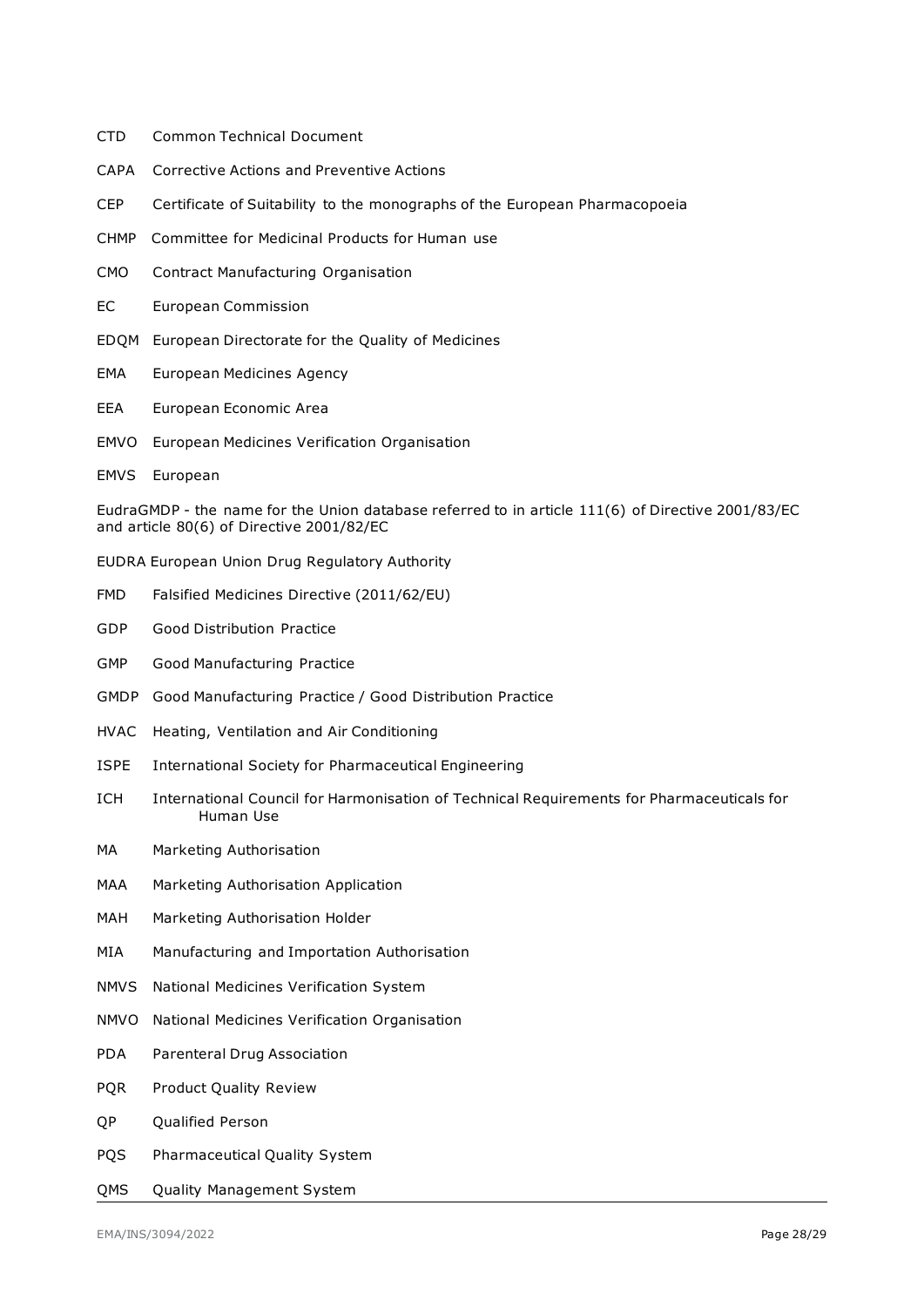- CTD Common Technical Document
- CAPA Corrective Actions and Preventive Actions
- CEP Certificate of Suitability to the monographs of the European Pharmacopoeia
- CHMP Committee for Medicinal Products for Human use
- CMO Contract Manufacturing Organisation
- EC European Commission
- EDQM European Directorate for the Quality of Medicines
- EMA European Medicines Agency
- EEA European Economic Area
- EMVO European Medicines Verification Organisation
- EMVS European

EudraGMDP - the name for the Union database referred to in article 111(6) of Directive 2001/83/EC and article 80(6) of Directive 2001/82/EC

- EUDRA European Union Drug Regulatory Authority
- FMD Falsified Medicines Directive (2011/62/EU)
- GDP Good Distribution Practice
- GMP Good Manufacturing Practice
- GMDP Good Manufacturing Practice / Good Distribution Practice
- HVAC Heating, Ventilation and Air Conditioning
- ISPE International Society for Pharmaceutical Engineering
- ICH International Council for Harmonisation of Technical Requirements for Pharmaceuticals for Human Use
- MA Marketing Authorisation
- MAA Marketing Authorisation Application
- MAH Marketing Authorisation Holder
- MIA Manufacturing and Importation Authorisation
- NMVS National Medicines Verification System
- NMVO National Medicines Verification Organisation
- PDA Parenteral Drug Association
- PQR Product Quality Review
- QP Qualified Person
- PQS Pharmaceutical Quality System
- QMS Quality Management System